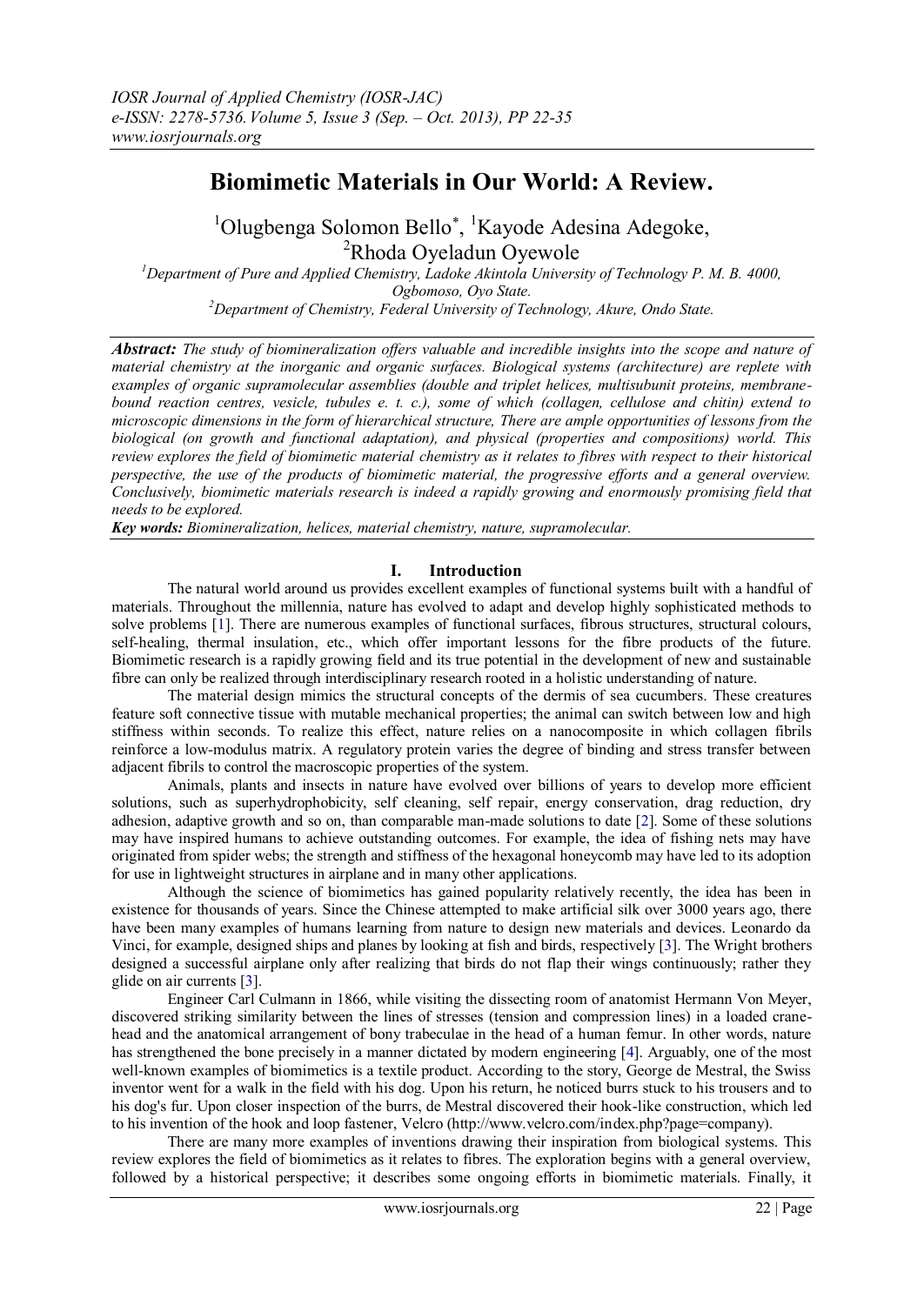# **Biomimetic Materials in Our World: A Review.**

<sup>1</sup>Olugbenga Solomon Bello<sup>\*</sup>, <sup>1</sup>Kayode Adesina Adegoke, <sup>2</sup>Rhoda Oyeladun Oyewole

*<sup>1</sup>Department of Pure and Applied Chemistry, Ladoke Akintola University of Technology P. M. B. 4000, Ogbomoso, Oyo State. <sup>2</sup>Department of Chemistry, Federal University of Technology, Akure, Ondo State.*

*Abstract: The study of biomineralization offers valuable and incredible insights into the scope and nature of material chemistry at the inorganic and organic surfaces. Biological systems (architecture) are replete with examples of organic supramolecular assemblies (double and triplet helices, multisubunit proteins, membranebound reaction centres, vesicle, tubules e. t. c.), some of which (collagen, cellulose and chitin) extend to microscopic dimensions in the form of hierarchical structure, There are ample opportunities of lessons from the biological (on growth and functional adaptation), and physical (properties and compositions) world. This review explores the field of biomimetic material chemistry as it relates to fibres with respect to their historical perspective, the use of the products of biomimetic material, the progressive efforts and a general overview. Conclusively, biomimetic materials research is indeed a rapidly growing and enormously promising field that needs to be explored.*

*Key words: Biomineralization, helices, material chemistry, nature, supramolecular.*

## **I. Introduction**

The natural world around us provides excellent examples of functional systems built with a handful of materials. Throughout the millennia, nature has evolved to adapt and develop highly sophisticated methods to solve problems [1]. There are numerous examples of functional surfaces, fibrous structures, structural colours, self-healing, thermal insulation, etc., which offer important lessons for the fibre products of the future. Biomimetic research is a rapidly growing field and its true potential in the development of new and sustainable fibre can only be realized through interdisciplinary research rooted in a holistic understanding of nature.

The material design mimics the structural concepts of the dermis of sea cucumbers. These creatures feature soft connective tissue with mutable mechanical properties; the animal can switch between low and high stiffness within seconds. To realize this effect, nature relies on a nanocomposite in which collagen fibrils reinforce a low-modulus matrix. A regulatory protein varies the degree of binding and stress transfer between adjacent fibrils to control the macroscopic properties of the system.

Animals, plants and insects in nature have evolved over billions of years to develop more efficient solutions, such as superhydrophobicity, self cleaning, self repair, energy conservation, drag reduction, dry adhesion, adaptive growth and so on, than comparable man-made solutions to date [2]. Some of these solutions may have inspired humans to achieve outstanding outcomes. For example, the idea of fishing nets may have originated from spider webs; the strength and stiffness of the hexagonal honeycomb may have led to its adoption for use in lightweight structures in airplane and in many other applications.

Although the science of biomimetics has gained popularity relatively recently, the idea has been in existence for thousands of years. Since the Chinese attempted to make artificial silk over 3000 years ago, there have been many examples of humans learning from nature to design new materials and devices. Leonardo da Vinci, for example, designed ships and planes by looking at fish and birds, respectively [3]. The Wright brothers designed a successful airplane only after realizing that birds do not flap their wings continuously; rather they glide on air currents [3].

Engineer Carl Culmann in 1866, while visiting the dissecting room of anatomist Hermann Von Meyer, discovered striking similarity between the lines of stresses (tension and compression lines) in a loaded cranehead and the anatomical arrangement of bony trabeculae in the head of a human femur. In other words, nature has strengthened the bone precisely in a manner dictated by modern engineering [4]. Arguably, one of the most well-known examples of biomimetics is a textile product. According to the story, George de Mestral, the Swiss inventor went for a walk in the field with his dog. Upon his return, he noticed burrs stuck to his trousers and to his dog's fur. Upon closer inspection of the burrs, de Mestral discovered their hook-like construction, which led to his invention of the hook and loop fastener, Velcro (http://www.velcro.com/index.php?page=company).

There are many more examples of inventions drawing their inspiration from biological systems. This review explores the field of biomimetics as it relates to fibres. The exploration begins with a general overview, followed by a historical perspective; it describes some ongoing efforts in biomimetic materials. Finally, it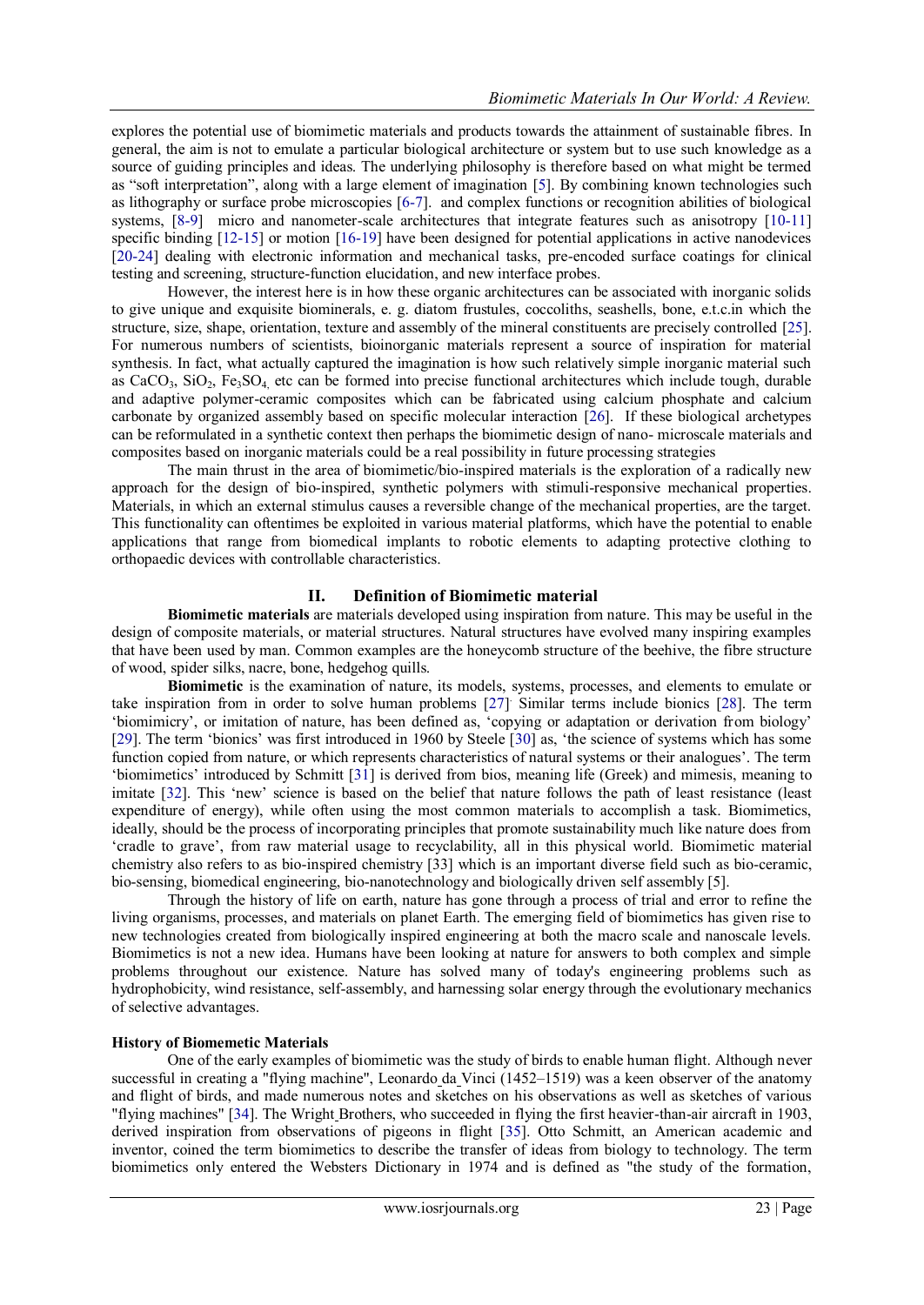explores the potential use of biomimetic materials and products towards the attainment of sustainable fibres. In general, the aim is not to emulate a particular biological architecture or system but to use such knowledge as a source of guiding principles and ideas. The underlying philosophy is therefore based on what might be termed as "soft interpretation", along with a large element of imagination [5]. By combining known technologies such as lithography or surface probe microscopies [6-7]. and complex functions or recognition abilities of biological systems, [8-9] micro and nanometer-scale architectures that integrate features such as anisotropy [10-11] specific binding [12-15] or motion [16-19] have been designed for potential applications in active nanodevices [20-24] dealing with electronic information and mechanical tasks, pre-encoded surface coatings for clinical testing and screening, structure-function elucidation, and new interface probes.

However, the interest here is in how these organic architectures can be associated with inorganic solids to give unique and exquisite biominerals, e. g. diatom frustules, coccoliths, seashells, bone, e.t.c.in which the structure, size, shape, orientation, texture and assembly of the mineral constituents are precisely controlled [25]. For numerous numbers of scientists, bioinorganic materials represent a source of inspiration for material synthesis. In fact, what actually captured the imagination is how such relatively simple inorganic material such as  $CaCO<sub>3</sub>$ ,  $SiO<sub>2</sub>$ ,  $Fe<sub>3</sub>SO<sub>4</sub>$  etc can be formed into precise functional architectures which include tough, durable and adaptive polymer-ceramic composites which can be fabricated using calcium phosphate and calcium carbonate by organized assembly based on specific molecular interaction [26]. If these biological archetypes can be reformulated in a synthetic context then perhaps the biomimetic design of nano- microscale materials and composites based on inorganic materials could be a real possibility in future processing strategies

The main thrust in the area of biomimetic/bio-inspired materials is the exploration of a radically new approach for the design of bio-inspired, synthetic polymers with stimuli-responsive mechanical properties. Materials, in which an external stimulus causes a reversible change of the mechanical properties, are the target. This functionality can oftentimes be exploited in various material platforms, which have the potential to enable applications that range from biomedical implants to robotic elements to adapting protective clothing to orthopaedic devices with controllable characteristics.

## **II. Definition of Biomimetic material**

**Biomimetic materials** are materials developed using [inspiration from nature.](http://en.wikipedia.org/wiki/Biomimicry) This may be useful in the design of composite materials, or material structures. Natural structures have evolved many inspiring examples that have been used by man. Common examples are the honeycomb structure of the beehive, the fibre structure of wood, spider silks, nacre, bone, hedgehog quills.

**Biomimetic** is the examination of [nature,](http://en.wikipedia.org/wiki/Nature) its models, systems, processes, and elements to emulate or take inspiration from in order to solve human problems [27] . Similar terms include bionics [28]. The term ‗biomimicry', or imitation of nature, has been defined as, ‗copying or adaptation or derivation from biology' [29]. The term 'bionics' was first introduced in 1960 by Steele [30] as, 'the science of systems which has some function copied from nature, or which represents characteristics of natural systems or their analogues'. The term ‗biomimetics' introduced by Schmitt [31] is derived from bios, meaning life (Greek) and mimesis, meaning to imitate [32]. This 'new' science is based on the belief that nature follows the path of least resistance (least expenditure of energy), while often using the most common materials to accomplish a task. Biomimetics, ideally, should be the process of incorporating principles that promote sustainability much like nature does from ‗cradle to grave', from raw material usage to recyclability, all in this physical world. Biomimetic material chemistry also refers to as bio-inspired chemistry [33] which is an important diverse field such as bio-ceramic, bio-sensing, biomedical engineering, bio-nanotechnology and biologically driven self assembly [5].

Through the history of life on earth, nature has gone through a process of trial and error to refine the living organisms, processes, and materials on planet Earth. The emerging field of biomimetics has given rise to new technologies created from biologically inspired engineering at both the macro scale and nanoscale levels. Biomimetics is not a new idea. Humans have been looking at nature for answers to both complex and simple problems throughout our existence. Nature has solved many of today's engineering problems such as hydrophobicity, wind resistance, self-assembly, and harnessing solar energy through the evolutionary mechanics of selective advantages.

## **History of Biomemetic Materials**

One of the early examples of biomimetic was the study of birds to enable human flight. Although never successful in creating a "flying machine", [Leonardo](http://en.wikipedia.org/wiki/Leonardo_da_Vinci) da Vinci (1452–1519) was a keen observer of the anatomy and flight of birds, and made numerous notes and sketches on his observations as well as sketches of various "flying machines" [34]. The Wright [Brothers,](http://en.wikipedia.org/wiki/Wright_Brothers) who succeeded in flying the first heavier-than-air aircraft in 1903, derived inspiration from observations of pigeons in flight [35]. [Otto Schmitt,](http://en.wikipedia.org/wiki/Otto_Schmitt) an American academic and inventor, coined the term biomimetics to describe the transfer of ideas from biology to technology. The term biomimetics only entered the Websters Dictionary in 1974 and is defined as "the study of the formation,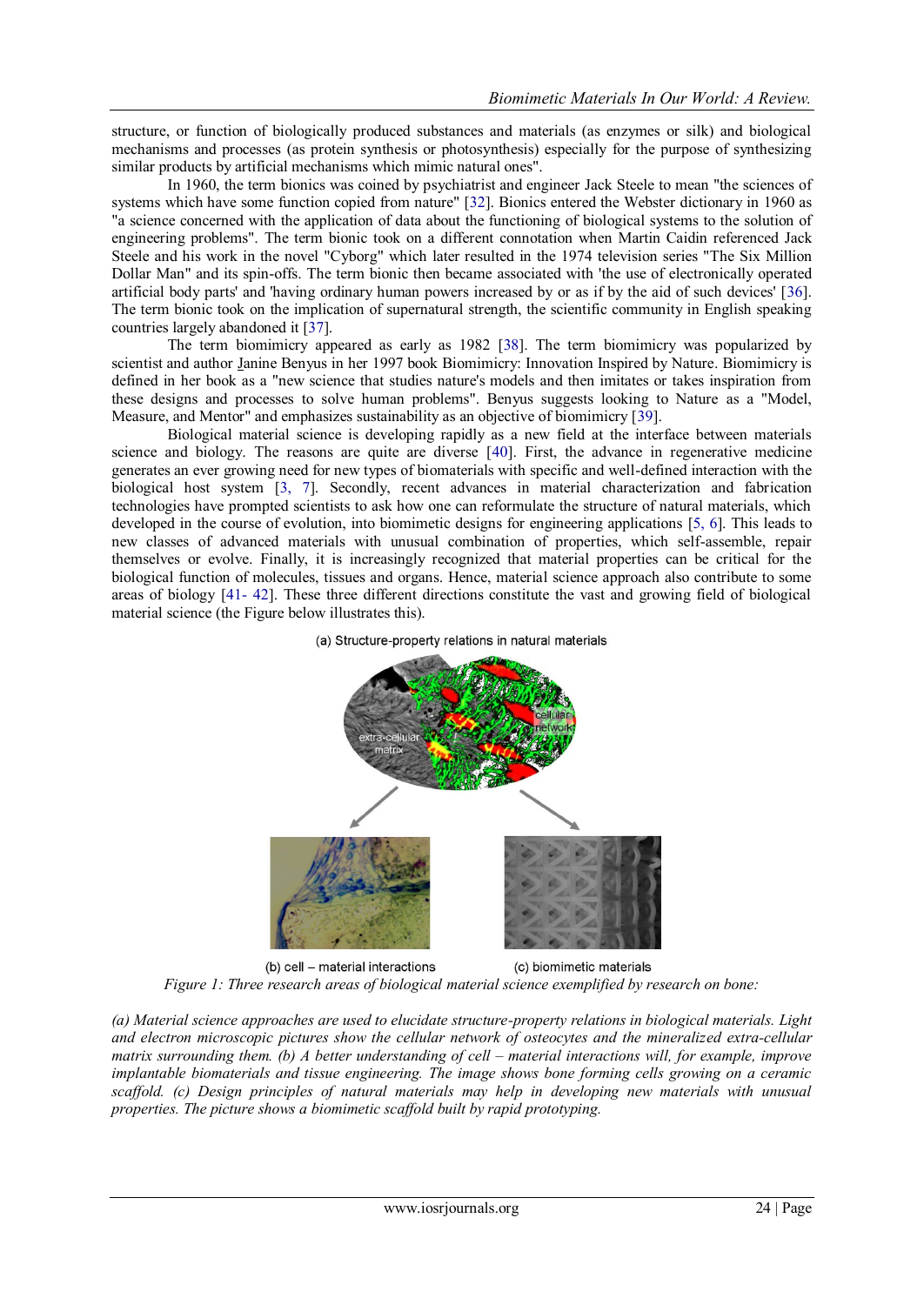structure, or function of biologically produced substances and materials (as enzymes or silk) and biological mechanisms and processes (as protein synthesis or photosynthesis) especially for the purpose of synthesizing similar products by artificial mechanisms which mimic natural ones".

In 1960, the term bionics was coined by psychiatrist and engineer [Jack Steele](http://en.wikipedia.org/wiki/Jack_Steele) to mean "the sciences of systems which have some function copied from nature" [32]. Bionics entered the Webster dictionary in 1960 as "a science concerned with the application of data about the functioning of biological systems to the solution of engineering problems". The term bionic took on a different connotation when [Martin Caidin](http://en.wikipedia.org/wiki/Martin_Caidin) referenced Jack Steele and his work in the novel "Cyborg" which later resulted in the 1974 television series ["The Six Million](http://en.wikipedia.org/wiki/The_Six_Million_Dollar_Man)  [Dollar Man"](http://en.wikipedia.org/wiki/The_Six_Million_Dollar_Man) and its spin-offs. The term bionic then became associated with 'the use of electronically operated artificial body parts' and 'having ordinary human powers increased by or as if by the aid of such devices' [36]. The term bionic took on the implication of supernatural strength, the scientific community in English speaking countries largely abandoned it [37].

The term biomimicry appeared as early as 1982 [38]. The term biomimicry was popularized by scientist and author [Janine Benyus](http://en.wikipedia.org/wiki/Janine_Benyus) in her 1997 book Biomimicry: Innovation Inspired by Nature. Biomimicry is defined in her book as a "new science that studies nature's models and then imitates or takes inspiration from these designs and processes to solve human problems". Benyus suggests looking to Nature as a "Model, Measure, and Mentor" and emphasizes sustainability as an objective of biomimicry [39].

Biological material science is developing rapidly as a new field at the interface between materials science and biology. The reasons are quite are diverse [40]. First, the advance in regenerative medicine generates an ever growing need for new types of biomaterials with specific and well-defined interaction with the biological host system [3, 7]. Secondly, recent advances in material characterization and fabrication technologies have prompted scientists to ask how one can reformulate the structure of natural materials, which developed in the course of evolution, into biomimetic designs for engineering applications [5, 6]. This leads to new classes of advanced materials with unusual combination of properties, which self-assemble, repair themselves or evolve. Finally, it is increasingly recognized that material properties can be critical for the biological function of molecules, tissues and organs. Hence, material science approach also contribute to some areas of biology [41- 42]. These three different directions constitute the vast and growing field of biological material science (the Figure below illustrates this).





(b) cell - material interactions (c) biomimetic materials *Figure 1: Three research areas of biological material science exemplified by research on bone:*

*(a) Material science approaches are used to elucidate structure-property relations in biological materials. Light and electron microscopic pictures show the cellular network of osteocytes and the mineralized extra-cellular matrix surrounding them. (b) A better understanding of cell – material interactions will, for example, improve implantable biomaterials and tissue engineering. The image shows bone forming cells growing on a ceramic scaffold. (c) Design principles of natural materials may help in developing new materials with unusual properties. The picture shows a biomimetic scaffold built by rapid prototyping.*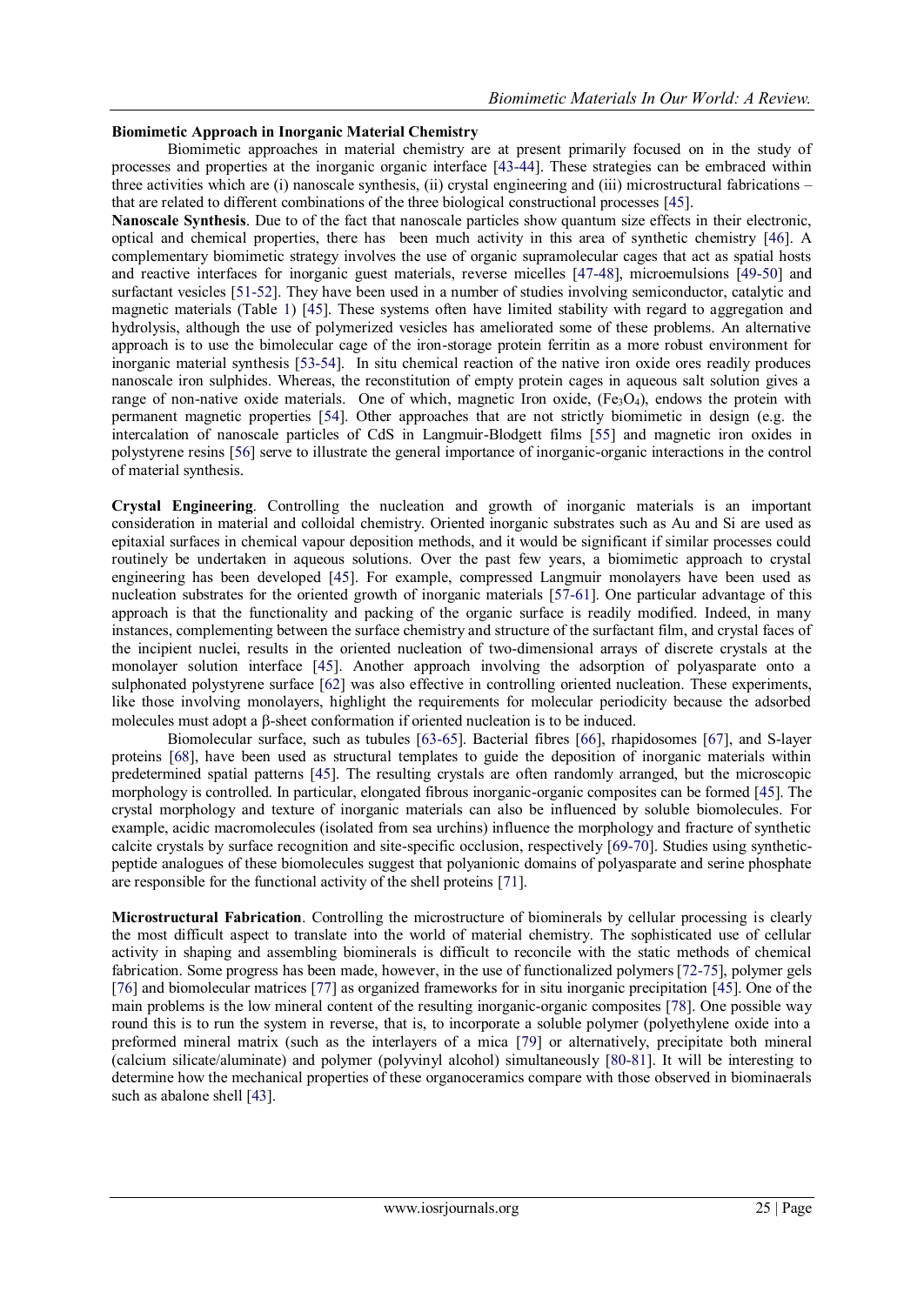# **Biomimetic Approach in Inorganic Material Chemistry**

Biomimetic approaches in material chemistry are at present primarily focused on in the study of processes and properties at the inorganic organic interface [43-44]. These strategies can be embraced within three activities which are (i) nanoscale synthesis, (ii) crystal engineering and (iii) microstructural fabrications – that are related to different combinations of the three biological constructional processes [45].

**Nanoscale Synthesis**. Due to of the fact that nanoscale particles show quantum size effects in their electronic, optical and chemical properties, there has been much activity in this area of synthetic chemistry [46]. A complementary biomimetic strategy involves the use of organic supramolecular cages that act as spatial hosts and reactive interfaces for inorganic guest materials, reverse micelles [47-48], microemulsions [49-50] and surfactant vesicles [51-52]. They have been used in a number of studies involving semiconductor, catalytic and magnetic materials (Table 1) [45]. These systems often have limited stability with regard to aggregation and hydrolysis, although the use of polymerized vesicles has ameliorated some of these problems. An alternative approach is to use the bimolecular cage of the iron-storage protein ferritin as a more robust environment for inorganic material synthesis [53-54]. In situ chemical reaction of the native iron oxide ores readily produces nanoscale iron sulphides. Whereas, the reconstitution of empty protein cages in aqueous salt solution gives a range of non-native oxide materials. One of which, magnetic Iron oxide,  $(Fe_3O_4)$ , endows the protein with permanent magnetic properties [54]. Other approaches that are not strictly biomimetic in design (e.g. the intercalation of nanoscale particles of CdS in Langmuir-Blodgett films [55] and magnetic iron oxides in polystyrene resins [56] serve to illustrate the general importance of inorganic-organic interactions in the control of material synthesis.

**Crystal Engineering**. Controlling the nucleation and growth of inorganic materials is an important consideration in material and colloidal chemistry. Oriented inorganic substrates such as Au and Si are used as epitaxial surfaces in chemical vapour deposition methods, and it would be significant if similar processes could routinely be undertaken in aqueous solutions. Over the past few years, a biomimetic approach to crystal engineering has been developed [45]. For example, compressed Langmuir monolayers have been used as nucleation substrates for the oriented growth of inorganic materials [57-61]. One particular advantage of this approach is that the functionality and packing of the organic surface is readily modified. Indeed, in many instances, complementing between the surface chemistry and structure of the surfactant film, and crystal faces of the incipient nuclei, results in the oriented nucleation of two-dimensional arrays of discrete crystals at the monolayer solution interface [45]. Another approach involving the adsorption of polyasparate onto a sulphonated polystyrene surface [62] was also effective in controlling oriented nucleation. These experiments, like those involving monolayers, highlight the requirements for molecular periodicity because the adsorbed molecules must adopt a  $\beta$ -sheet conformation if oriented nucleation is to be induced.

Biomolecular surface, such as tubules [63-65]. Bacterial fibres [66], rhapidosomes [67], and S-layer proteins [68], have been used as structural templates to guide the deposition of inorganic materials within predetermined spatial patterns [45]. The resulting crystals are often randomly arranged, but the microscopic morphology is controlled. In particular, elongated fibrous inorganic-organic composites can be formed [45]. The crystal morphology and texture of inorganic materials can also be influenced by soluble biomolecules. For example, acidic macromolecules (isolated from sea urchins) influence the morphology and fracture of synthetic calcite crystals by surface recognition and site-specific occlusion, respectively [69-70]. Studies using syntheticpeptide analogues of these biomolecules suggest that polyanionic domains of polyasparate and serine phosphate are responsible for the functional activity of the shell proteins [71].

**Microstructural Fabrication**. Controlling the microstructure of biominerals by cellular processing is clearly the most difficult aspect to translate into the world of material chemistry. The sophisticated use of cellular activity in shaping and assembling biominerals is difficult to reconcile with the static methods of chemical fabrication. Some progress has been made, however, in the use of functionalized polymers[72-75], polymer gels [76] and biomolecular matrices [77] as organized frameworks for in situ inorganic precipitation [45]. One of the main problems is the low mineral content of the resulting inorganic-organic composites [78]. One possible way round this is to run the system in reverse, that is, to incorporate a soluble polymer (polyethylene oxide into a preformed mineral matrix (such as the interlayers of a mica [79] or alternatively, precipitate both mineral (calcium silicate/aluminate) and polymer (polyvinyl alcohol) simultaneously [80-81]. It will be interesting to determine how the mechanical properties of these organoceramics compare with those observed in biominaerals such as abalone shell [43].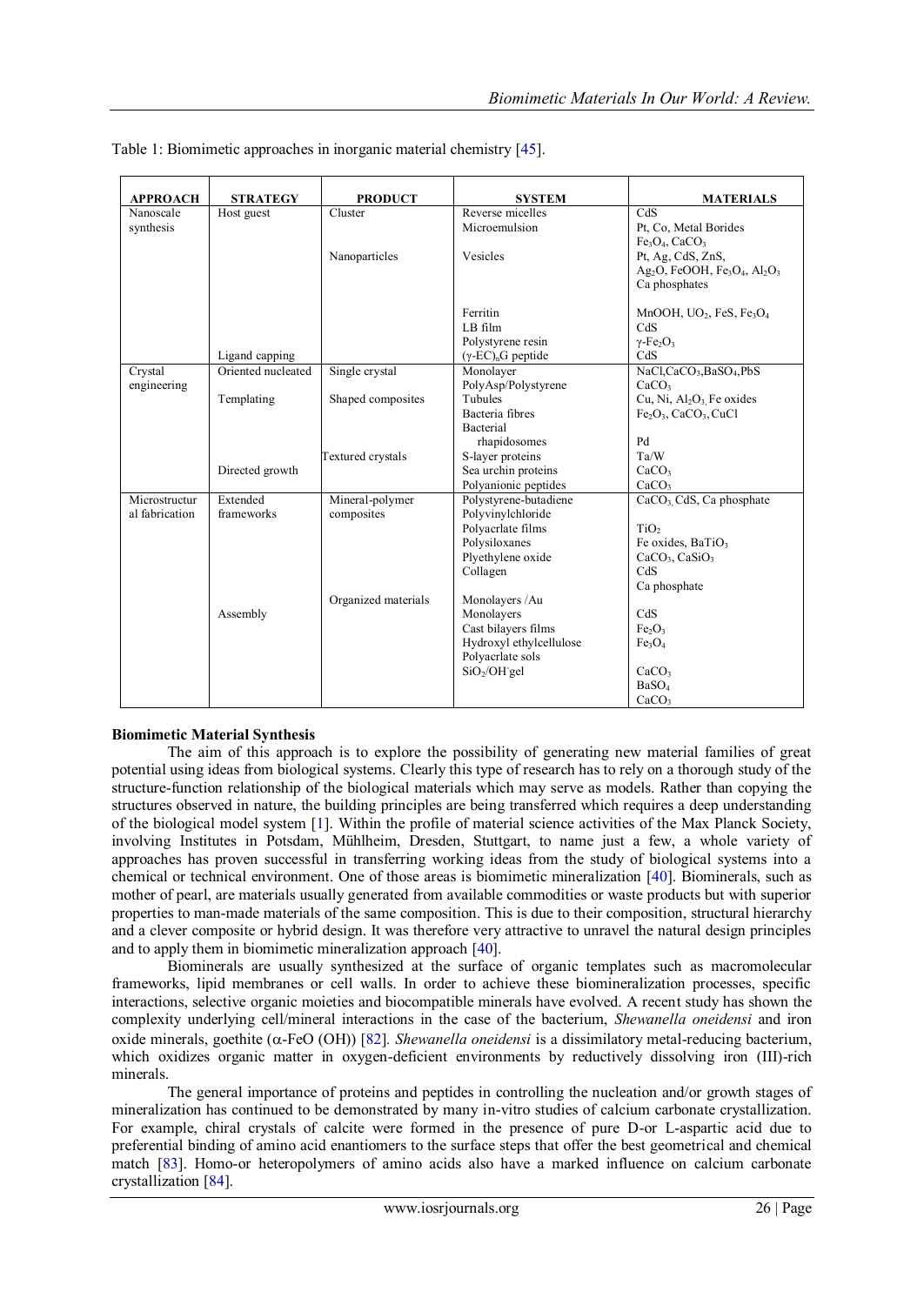| <b>APPROACH</b> | <b>STRATEGY</b>    | <b>PRODUCT</b>      | <b>SYSTEM</b>                                  | <b>MATERIALS</b>                                                                          |
|-----------------|--------------------|---------------------|------------------------------------------------|-------------------------------------------------------------------------------------------|
| Nanoscale       | Host guest         | Cluster             | Reverse micelles                               | CdS                                                                                       |
| synthesis       |                    |                     | Microemulsion                                  | Pt, Co, Metal Borides                                                                     |
|                 |                    |                     |                                                | $Fe3O4$ , CaCO <sub>3</sub>                                                               |
|                 |                    | Nanoparticles       | Vesicles                                       | Pt, Ag, CdS, ZnS,                                                                         |
|                 |                    |                     |                                                | Ag <sub>2</sub> O, FeOOH, Fe <sub>3</sub> O <sub>4</sub> , Al <sub>2</sub> O <sub>3</sub> |
|                 |                    |                     |                                                | Ca phosphates                                                                             |
|                 |                    |                     | Ferritin                                       | MnOOH, UO <sub>2</sub> , FeS, Fe <sub>3</sub> O <sub>4</sub>                              |
|                 |                    |                     | LB film                                        | CdS                                                                                       |
|                 |                    |                     | Polystyrene resin                              | $\gamma$ -Fe <sub>2</sub> O <sub>3</sub>                                                  |
|                 | Ligand capping     |                     | $(\gamma$ -EC) <sub>n</sub> G peptide          | CdS                                                                                       |
| Crystal         | Oriented nucleated | Single crystal      | Monolayer                                      | NaCl,CaCO <sub>3</sub> ,BaSO <sub>4</sub> ,PbS                                            |
| engineering     |                    |                     | PolyAsp/Polystyrene                            | CaCO <sub>3</sub>                                                                         |
|                 | Templating         | Shaped composites   | Tubules                                        | Cu, Ni, Al <sub>2</sub> O <sub>3</sub> Fe oxides                                          |
|                 |                    |                     | Bacteria fibres                                | $Fe2O3$ , CaCO <sub>3</sub> , CuCl                                                        |
|                 |                    |                     | Bacterial                                      |                                                                                           |
|                 |                    |                     | rhapidosomes                                   | Pd                                                                                        |
|                 |                    | Textured crystals   | S-layer proteins                               | Ta/W                                                                                      |
|                 | Directed growth    |                     | Sea urchin proteins                            | CaCO <sub>3</sub>                                                                         |
|                 |                    |                     | Polyanionic peptides                           | CaCO <sub>3</sub>                                                                         |
| Microstructur   | Extended           | Mineral-polymer     | Polystyrene-butadiene                          | CaCO <sub>3</sub> , CdS, Ca phosphate                                                     |
| al fabrication  | frameworks         | composites          | Polyvinylchloride                              |                                                                                           |
|                 |                    |                     | Polyacrlate films                              | TiO <sub>2</sub>                                                                          |
|                 |                    |                     | Polysiloxanes                                  | Fe oxides, BaTiO <sub>3</sub>                                                             |
|                 |                    |                     | Plyethylene oxide                              | CaCO <sub>3</sub> , CaSiO <sub>3</sub>                                                    |
|                 |                    |                     | Collagen                                       | CdS                                                                                       |
|                 |                    |                     |                                                | Ca phosphate                                                                              |
|                 |                    | Organized materials | Monolayers /Au                                 | CdS                                                                                       |
|                 | Assembly           |                     | Monolayers                                     |                                                                                           |
|                 |                    |                     | Cast bilayers films<br>Hydroxyl ethylcellulose | Fe <sub>2</sub> O <sub>3</sub><br>Fe <sub>3</sub> O <sub>4</sub>                          |
|                 |                    |                     | Polyacrlate sols                               |                                                                                           |
|                 |                    |                     | $SiO2/OH$ gel                                  | CaCO <sub>3</sub>                                                                         |
|                 |                    |                     |                                                | BaSO <sub>4</sub>                                                                         |
|                 |                    |                     |                                                | CaCO <sub>3</sub>                                                                         |

Table 1: Biomimetic approaches in inorganic material chemistry [45].

# **Biomimetic Material Synthesis**

The aim of this approach is to explore the possibility of generating new material families of great potential using ideas from biological systems. Clearly this type of research has to rely on a thorough study of the structure-function relationship of the biological materials which may serve as models. Rather than copying the structures observed in nature, the building principles are being transferred which requires a deep understanding of the biological model system [1]. Within the profile of material science activities of the Max Planck Society, involving Institutes in Potsdam, Mühlheim, Dresden, Stuttgart, to name just a few, a whole variety of approaches has proven successful in transferring working ideas from the study of biological systems into a chemical or technical environment. One of those areas is biomimetic mineralization [40]. Biominerals, such as mother of pearl, are materials usually generated from available commodities or waste products but with superior properties to man-made materials of the same composition. This is due to their composition, structural hierarchy and a clever composite or hybrid design. It was therefore very attractive to unravel the natural design principles and to apply them in biomimetic mineralization approach [40].

Biominerals are usually synthesized at the surface of organic templates such as macromolecular frameworks, lipid membranes or cell walls. In order to achieve these biomineralization processes, specific interactions, selective organic moieties and biocompatible minerals have evolved. A recent study has shown the complexity underlying cell/mineral interactions in the case of the bacterium, *Shewanella oneidensi* and iron oxide minerals, goethite ( $\alpha$ -FeO (OH)) [82]. *Shewanella oneidensi* is a dissimilatory metal-reducing bacterium, which oxidizes organic matter in oxygen-deficient environments by reductively dissolving iron (III)-rich minerals.

The general importance of proteins and peptides in controlling the nucleation and/or growth stages of mineralization has continued to be demonstrated by many in-vitro studies of calcium carbonate crystallization. For example, chiral crystals of calcite were formed in the presence of pure D-or L-aspartic acid due to preferential binding of amino acid enantiomers to the surface steps that offer the best geometrical and chemical match [83]. Homo-or heteropolymers of amino acids also have a marked influence on calcium carbonate crystallization [84].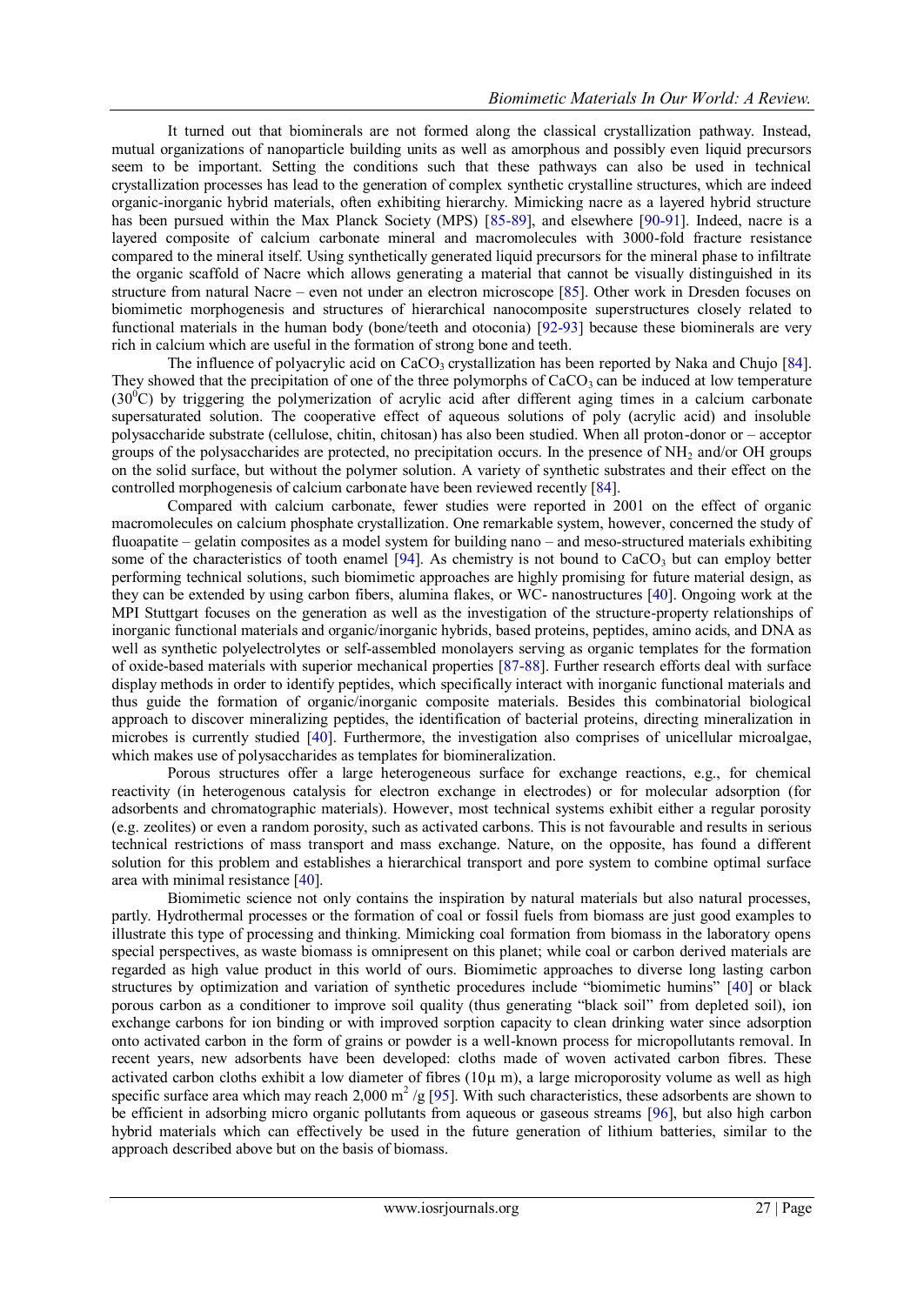It turned out that biominerals are not formed along the classical crystallization pathway. Instead, mutual organizations of nanoparticle building units as well as amorphous and possibly even liquid precursors seem to be important. Setting the conditions such that these pathways can also be used in technical crystallization processes has lead to the generation of complex synthetic crystalline structures, which are indeed organic-inorganic hybrid materials, often exhibiting hierarchy. Mimicking nacre as a layered hybrid structure has been pursued within the Max Planck Society (MPS) [85-89], and elsewhere [90-91]. Indeed, nacre is a layered composite of calcium carbonate mineral and macromolecules with 3000-fold fracture resistance compared to the mineral itself. Using synthetically generated liquid precursors for the mineral phase to infiltrate the organic scaffold of Nacre which allows generating a material that cannot be visually distinguished in its structure from natural Nacre – even not under an electron microscope [85]. Other work in Dresden focuses on biomimetic morphogenesis and structures of hierarchical nanocomposite superstructures closely related to functional materials in the human body (bone/teeth and otoconia) [92-93] because these biominerals are very rich in calcium which are useful in the formation of strong bone and teeth.

The influence of polyacrylic acid on CaCO<sub>3</sub> crystallization has been reported by Naka and Chujo [84]. They showed that the precipitation of one of the three polymorphs of  $CaCO<sub>3</sub>$  can be induced at low temperature  $(30<sup>0</sup>C)$  by triggering the polymerization of acrylic acid after different aging times in a calcium carbonate supersaturated solution. The cooperative effect of aqueous solutions of poly (acrylic acid) and insoluble polysaccharide substrate (cellulose, chitin, chitosan) has also been studied. When all proton-donor or – acceptor groups of the polysaccharides are protected, no precipitation occurs. In the presence of  $NH<sub>2</sub>$  and/or OH groups on the solid surface, but without the polymer solution. A variety of synthetic substrates and their effect on the controlled morphogenesis of calcium carbonate have been reviewed recently [84].

Compared with calcium carbonate, fewer studies were reported in 2001 on the effect of organic macromolecules on calcium phosphate crystallization. One remarkable system, however, concerned the study of fluoapatite – gelatin composites as a model system for building nano – and meso-structured materials exhibiting some of the characteristics of tooth enamel [94]. As chemistry is not bound to  $CaCO<sub>3</sub>$  but can employ better performing technical solutions, such biomimetic approaches are highly promising for future material design, as they can be extended by using carbon fibers, alumina flakes, or WC- nanostructures [40]. Ongoing work at the MPI Stuttgart focuses on the generation as well as the investigation of the structure-property relationships of inorganic functional materials and organic/inorganic hybrids, based proteins, peptides, amino acids, and DNA as well as synthetic polyelectrolytes or self-assembled monolayers serving as organic templates for the formation of oxide-based materials with superior mechanical properties [87-88]. Further research efforts deal with surface display methods in order to identify peptides, which specifically interact with inorganic functional materials and thus guide the formation of organic/inorganic composite materials. Besides this combinatorial biological approach to discover mineralizing peptides, the identification of bacterial proteins, directing mineralization in microbes is currently studied [40]. Furthermore, the investigation also comprises of unicellular microalgae, which makes use of polysaccharides as templates for biomineralization.

Porous structures offer a large heterogeneous surface for exchange reactions, e.g., for chemical reactivity (in heterogenous catalysis for electron exchange in electrodes) or for molecular adsorption (for adsorbents and chromatographic materials). However, most technical systems exhibit either a regular porosity (e.g. zeolites) or even a random porosity, such as activated carbons. This is not favourable and results in serious technical restrictions of mass transport and mass exchange. Nature, on the opposite, has found a different solution for this problem and establishes a hierarchical transport and pore system to combine optimal surface area with minimal resistance [40].

Biomimetic science not only contains the inspiration by natural materials but also natural processes, partly. Hydrothermal processes or the formation of coal or fossil fuels from biomass are just good examples to illustrate this type of processing and thinking. Mimicking coal formation from biomass in the laboratory opens special perspectives, as waste biomass is omnipresent on this planet; while coal or carbon derived materials are regarded as high value product in this world of ours. Biomimetic approaches to diverse long lasting carbon structures by optimization and variation of synthetic procedures include "biomimetic humins" [40] or black porous carbon as a conditioner to improve soil quality (thus generating "black soil" from depleted soil), ion exchange carbons for ion binding or with improved sorption capacity to clean drinking water since adsorption onto activated carbon in the form of grains or powder is a well-known process for micropollutants removal. In recent years, new adsorbents have been developed: cloths made of woven activated carbon fibres. These activated carbon cloths exhibit a low diameter of fibres  $(10\mu \text{ m})$ , a large microporosity volume as well as high specific surface area which may reach 2,000  $m^2$  /g [95]. With such characteristics, these adsorbents are shown to be efficient in adsorbing micro organic pollutants from aqueous or gaseous streams [96], but also high carbon hybrid materials which can effectively be used in the future generation of lithium batteries, similar to the approach described above but on the basis of biomass.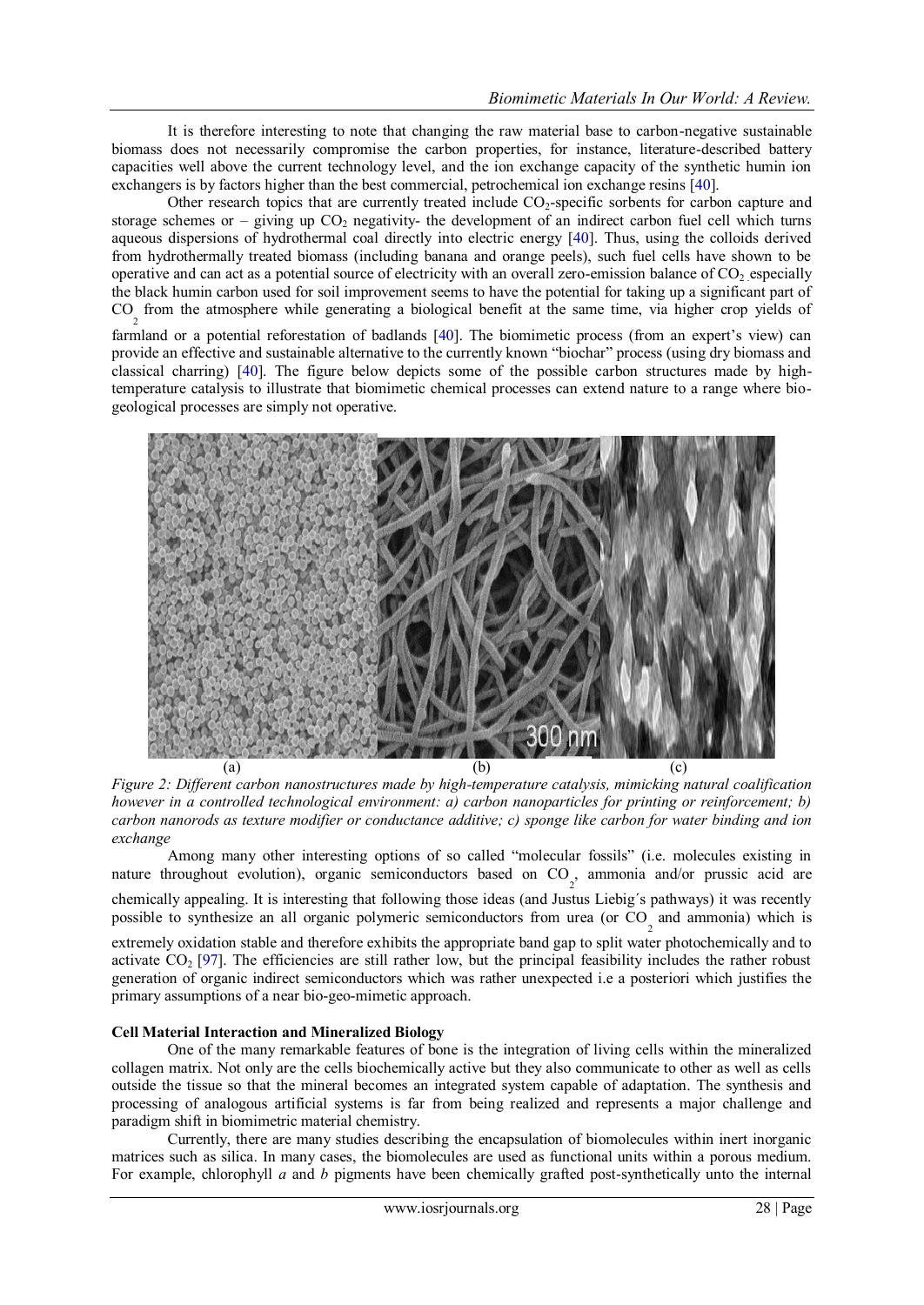It is therefore interesting to note that changing the raw material base to carbon-negative sustainable biomass does not necessarily compromise the carbon properties, for instance, literature-described battery capacities well above the current technology level, and the ion exchange capacity of the synthetic humin ion exchangers is by factors higher than the best commercial, petrochemical ion exchange resins [40].

Other research topics that are currently treated include  $CO<sub>2</sub>$ -specific sorbents for carbon capture and storage schemes or – giving up  $CO<sub>2</sub>$  negativity- the development of an indirect carbon fuel cell which turns aqueous dispersions of hydrothermal coal directly into electric energy [40]. Thus, using the colloids derived from hydrothermally treated biomass (including banana and orange peels), such fuel cells have shown to be operative and can act as a potential source of electricity with an overall zero-emission balance of  $CO<sub>2</sub>$  especially the black humin carbon used for soil improvement seems to have the potential for taking up a significant part of CO 2 from the atmosphere while generating a biological benefit at the same time, via higher crop yields of

farmland or a potential reforestation of badlands [40]. The biomimetic process (from an expert's view) can provide an effective and sustainable alternative to the currently known "biochar" process (using dry biomass and classical charring) [40]. The figure below depicts some of the possible carbon structures made by hightemperature catalysis to illustrate that biomimetic chemical processes can extend nature to a range where biogeological processes are simply not operative.



*Figure 2: Different carbon nanostructures made by high-temperature catalysis, mimicking natural coalification however in a controlled technological environment: a) carbon nanoparticles for printing or reinforcement; b) carbon nanorods as texture modifier or conductance additive; c) sponge like carbon for water binding and ion exchange*

Among many other interesting options of so called "molecular fossils" (i.e. molecules existing in nature throughout evolution), organic semiconductors based on  $CO_2$ , ammonia and/or prussic acid are chemically appealing. It is interesting that following those ideas (and Justus Liebig´s pathways) it was recently

possible to synthesize an all organic polymeric semiconductors from urea (or  $\text{CO}_2$  and ammonia) which is

extremely oxidation stable and therefore exhibits the appropriate band gap to split water photochemically and to activate  $CO<sub>2</sub>$  [97]. The efficiencies are still rather low, but the principal feasibility includes the rather robust generation of organic indirect semiconductors which was rather unexpected i.e a posteriori which justifies the primary assumptions of a near bio-geo-mimetic approach.

# **Cell Material Interaction and Mineralized Biology**

One of the many remarkable features of bone is the integration of living cells within the mineralized collagen matrix. Not only are the cells biochemically active but they also communicate to other as well as cells outside the tissue so that the mineral becomes an integrated system capable of adaptation. The synthesis and processing of analogous artificial systems is far from being realized and represents a major challenge and paradigm shift in biomimetric material chemistry.

Currently, there are many studies describing the encapsulation of biomolecules within inert inorganic matrices such as silica. In many cases, the biomolecules are used as functional units within a porous medium. For example, chlorophyll *a* and *b* pigments have been chemically grafted post-synthetically unto the internal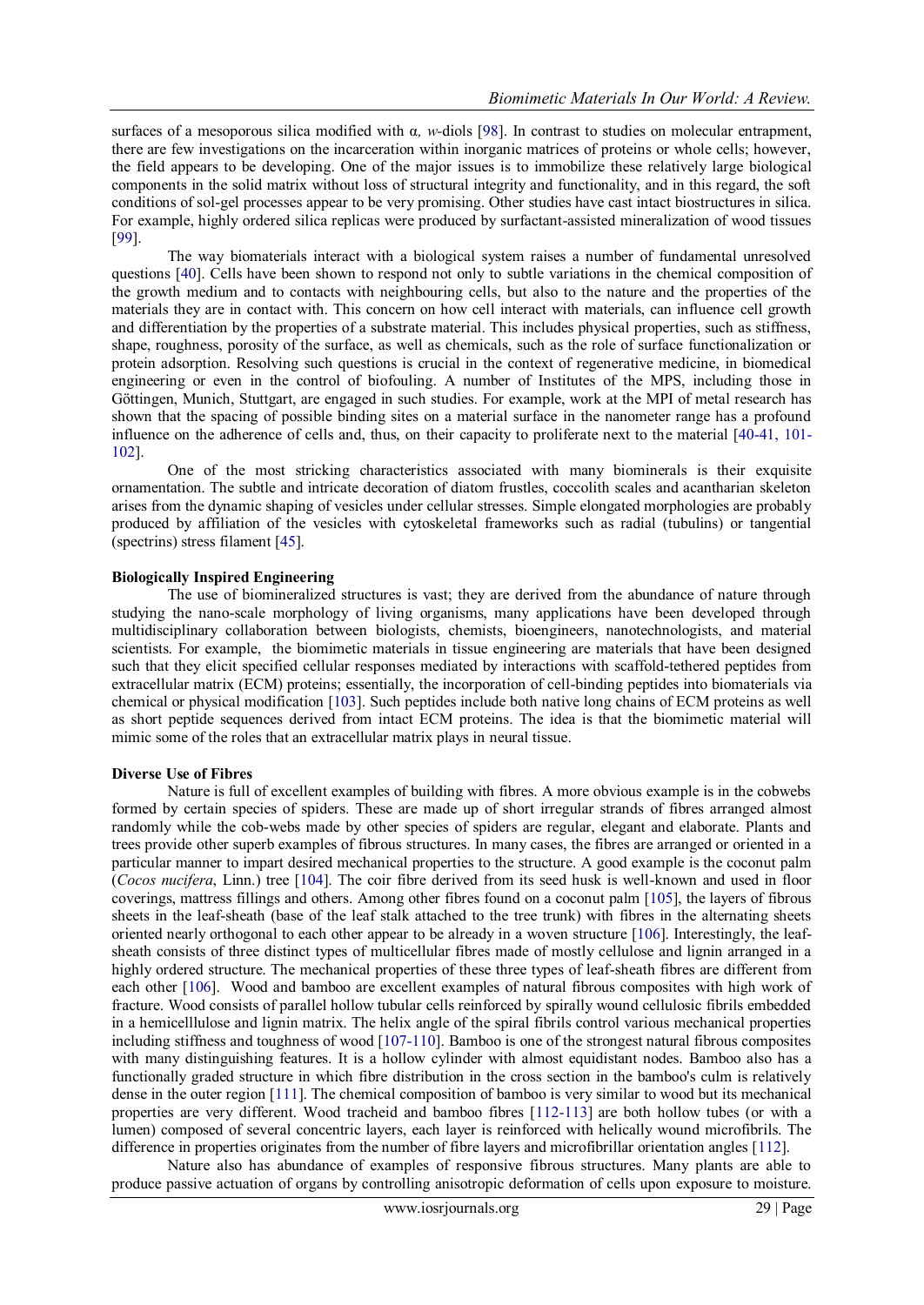surfaces of a mesoporous silica modified with α*, w-*diols [98]. In contrast to studies on molecular entrapment, there are few investigations on the incarceration within inorganic matrices of proteins or whole cells; however, the field appears to be developing. One of the major issues is to immobilize these relatively large biological components in the solid matrix without loss of structural integrity and functionality, and in this regard, the soft conditions of sol-gel processes appear to be very promising. Other studies have cast intact biostructures in silica. For example, highly ordered silica replicas were produced by surfactant-assisted mineralization of wood tissues [99].

The way biomaterials interact with a biological system raises a number of fundamental unresolved questions [40]. Cells have been shown to respond not only to subtle variations in the chemical composition of the growth medium and to contacts with neighbouring cells, but also to the nature and the properties of the materials they are in contact with. This concern on how cell interact with materials, can influence cell growth and differentiation by the properties of a substrate material. This includes physical properties, such as stiffness, shape, roughness, porosity of the surface, as well as chemicals, such as the role of surface functionalization or protein adsorption. Resolving such questions is crucial in the context of regenerative medicine, in biomedical engineering or even in the control of biofouling. A number of Institutes of the MPS, including those in Göttingen, Munich, Stuttgart, are engaged in such studies. For example, work at the MPI of metal research has shown that the spacing of possible binding sites on a material surface in the nanometer range has a profound influence on the adherence of cells and, thus, on their capacity to proliferate next to the material [40-41, 101- 102].

One of the most stricking characteristics associated with many biominerals is their exquisite ornamentation. The subtle and intricate decoration of diatom frustles, coccolith scales and acantharian skeleton arises from the dynamic shaping of vesicles under cellular stresses. Simple elongated morphologies are probably produced by affiliation of the vesicles with cytoskeletal frameworks such as radial (tubulins) or tangential (spectrins) stress filament [45].

#### **Biologically Inspired Engineering**

The use of biomineralized structures is vast; they are derived from the abundance of nature through studying the nano-scale morphology of living organisms, many applications have been developed through multidisciplinary collaboration between biologists, chemists, bioengineers, nanotechnologists, and material scientists. For example, the biomimetic materials in tissue engineering are materials that have been designed such that they elicit specified cellular responses mediated by interactions with scaffold-tethered [peptides](http://en.wikipedia.org/wiki/Peptides) from [extracellular matrix](http://en.wikipedia.org/wiki/Extracellular_matrix) (ECM) [proteins;](http://en.wikipedia.org/wiki/Protein) essentially, the incorporation of cell-binding peptides into [biomaterials](http://en.wikipedia.org/wiki/Biomaterial) via chemical or physical modification [103]. Such peptides include both native long chains of ECM proteins as well as short peptide sequences derived from intact ECM proteins. The idea is that the biomimetic material will mimic some of the roles that an extracellular matrix plays in [neural tissue.](http://en.wikipedia.org/wiki/Neural_tissue)

#### **Diverse Use of Fibres**

Nature is full of excellent examples of building with fibres. A more obvious example is in the cobwebs formed by certain species of spiders. These are made up of short irregular strands of fibres arranged almost randomly while the cob-webs made by other species of spiders are regular, elegant and elaborate. Plants and trees provide other superb examples of fibrous structures. In many cases, the fibres are arranged or oriented in a particular manner to impart desired mechanical properties to the structure. A good example is the coconut palm (*Cocos nucifera*, Linn.) tree [104]. The coir fibre derived from its seed husk is well-known and used in floor coverings, mattress fillings and others. Among other fibres found on a coconut palm [105], the layers of fibrous sheets in the leaf-sheath (base of the leaf stalk attached to the tree trunk) with fibres in the alternating sheets oriented nearly orthogonal to each other appear to be already in a woven structure [106]. Interestingly, the leafsheath consists of three distinct types of multicellular fibres made of mostly cellulose and lignin arranged in a highly ordered structure. The mechanical properties of these three types of leaf-sheath fibres are different from each other [106]. Wood and bamboo are excellent examples of natural fibrous composites with high work of fracture. Wood consists of parallel hollow tubular cells reinforced by spirally wound cellulosic fibrils embedded in a hemicelllulose and lignin matrix. The helix angle of the spiral fibrils control various mechanical properties including stiffness and toughness of wood [107-110]. Bamboo is one of the strongest natural fibrous composites with many distinguishing features. It is a hollow cylinder with almost equidistant nodes. Bamboo also has a functionally graded structure in which fibre distribution in the cross section in the bamboo's culm is relatively dense in the outer region [111]. The chemical composition of bamboo is very similar to wood but its mechanical properties are very different. Wood tracheid and bamboo fibres [112-113] are both hollow tubes (or with a lumen) composed of several concentric layers, each layer is reinforced with helically wound microfibrils. The difference in properties originates from the number of fibre layers and microfibrillar orientation angles [112].

Nature also has abundance of examples of responsive fibrous structures. Many plants are able to produce passive actuation of organs by controlling anisotropic deformation of cells upon exposure to moisture.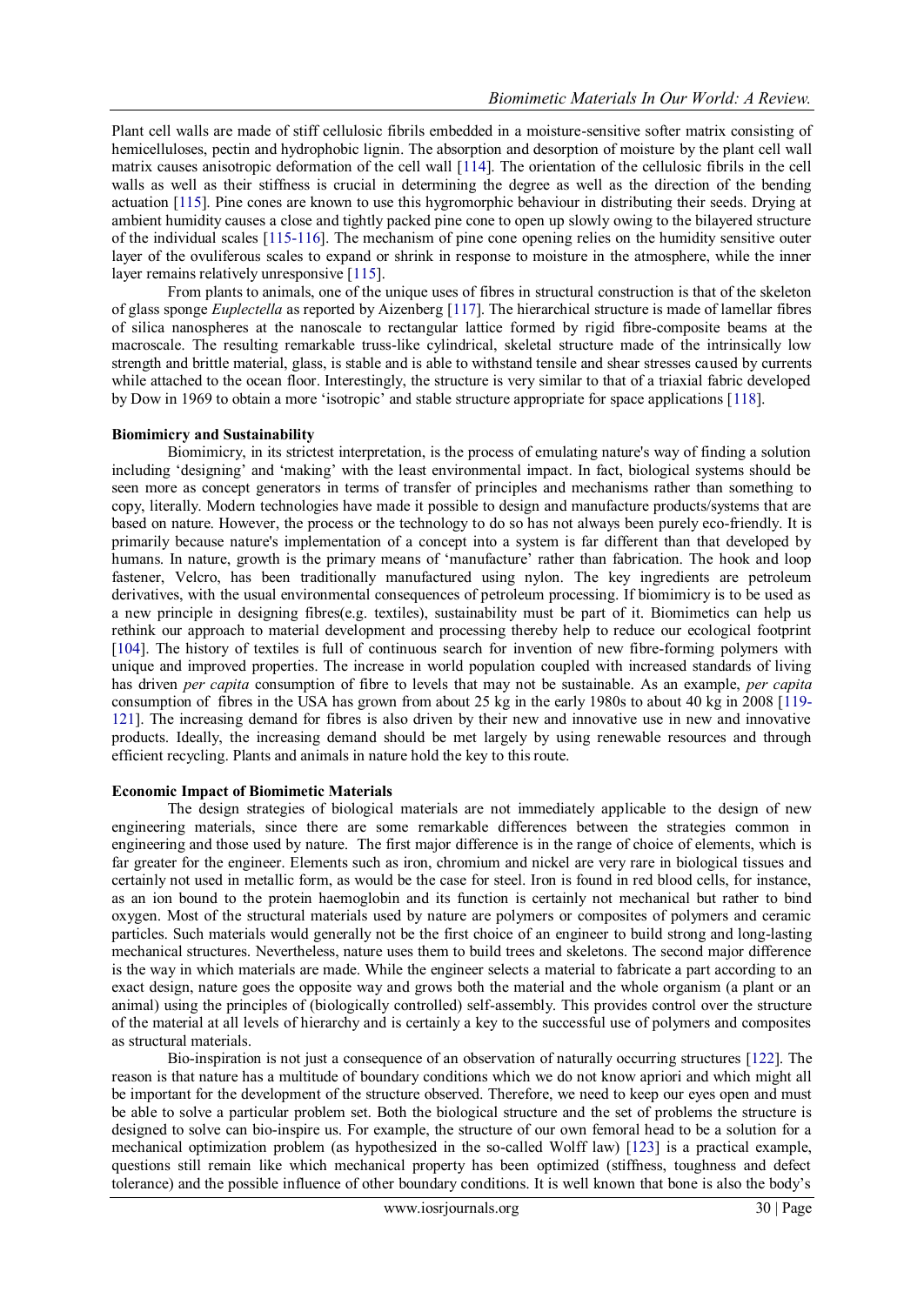Plant cell walls are made of stiff cellulosic fibrils embedded in a moisture-sensitive softer matrix consisting of hemicelluloses, pectin and hydrophobic lignin. The absorption and desorption of moisture by the plant cell wall matrix causes anisotropic deformation of the cell wall [114]. The orientation of the cellulosic fibrils in the cell walls as well as their stiffness is crucial in determining the degree as well as the direction of the bending actuation [115]. Pine cones are known to use this hygromorphic behaviour in distributing their seeds. Drying at ambient humidity causes a close and tightly packed pine cone to open up slowly owing to the bilayered structure of the individual scales [115-116]. The mechanism of pine cone opening relies on the humidity sensitive outer layer of the ovuliferous scales to expand or shrink in response to moisture in the atmosphere, while the inner layer remains relatively unresponsive [115].

From plants to animals, one of the unique uses of fibres in structural construction is that of the skeleton of glass sponge *Euplectella* as reported by Aizenberg [117]. The hierarchical structure is made of lamellar fibres of silica nanospheres at the nanoscale to rectangular lattice formed by rigid fibre-composite beams at the macroscale. The resulting remarkable truss-like cylindrical, skeletal structure made of the intrinsically low strength and brittle material, glass, is stable and is able to withstand tensile and shear stresses caused by currents while attached to the ocean floor. Interestingly, the structure is very similar to that of a triaxial fabric developed by Dow in 1969 to obtain a more 'isotropic' and stable structure appropriate for space applications [118].

#### **Biomimicry and Sustainability**

Biomimicry, in its strictest interpretation, is the process of emulating nature's way of finding a solution including ‗designing' and ‗making' with the least environmental impact. In fact, biological systems should be seen more as concept generators in terms of transfer of principles and mechanisms rather than something to copy, literally. Modern technologies have made it possible to design and manufacture products/systems that are based on nature. However, the process or the technology to do so has not always been purely eco-friendly. It is primarily because nature's implementation of a concept into a system is far different than that developed by humans. In nature, growth is the primary means of 'manufacture' rather than fabrication. The hook and loop fastener, Velcro, has been traditionally manufactured using nylon. The key ingredients are petroleum derivatives, with the usual environmental consequences of petroleum processing. If biomimicry is to be used as a new principle in designing fibres(e.g. textiles), sustainability must be part of it. Biomimetics can help us rethink our approach to material development and processing thereby help to reduce our ecological footprint [104]. The history of textiles is full of continuous search for invention of new fibre-forming polymers with unique and improved properties. The increase in world population coupled with increased standards of living has driven *per capita* consumption of fibre to levels that may not be sustainable. As an example, *per capita* consumption of fibres in the USA has grown from about 25 kg in the early 1980s to about 40 kg in 2008 [119- 121]. The increasing demand for fibres is also driven by their new and innovative use in new and innovative products. Ideally, the increasing demand should be met largely by using renewable resources and through efficient recycling. Plants and animals in nature hold the key to this route.

## **Economic Impact of Biomimetic Materials**

The design strategies of biological materials are not immediately applicable to the design of new engineering materials, since there are some remarkable differences between the strategies common in engineering and those used by nature. The first major difference is in the range of choice of elements, which is far greater for the engineer. Elements such as iron, chromium and nickel are very rare in biological tissues and certainly not used in metallic form, as would be the case for steel. Iron is found in red blood cells, for instance, as an ion bound to the protein haemoglobin and its function is certainly not mechanical but rather to bind oxygen. Most of the structural materials used by nature are polymers or composites of polymers and ceramic particles. Such materials would generally not be the first choice of an engineer to build strong and long-lasting mechanical structures. Nevertheless, nature uses them to build trees and skeletons. The second major difference is the way in which materials are made. While the engineer selects a material to fabricate a part according to an exact design, nature goes the opposite way and grows both the material and the whole organism (a plant or an animal) using the principles of (biologically controlled) self-assembly. This provides control over the structure of the material at all levels of hierarchy and is certainly a key to the successful use of polymers and composites as structural materials.

Bio-inspiration is not just a consequence of an observation of naturally occurring structures [122]. The reason is that nature has a multitude of boundary conditions which we do not know apriori and which might all be important for the development of the structure observed. Therefore, we need to keep our eyes open and must be able to solve a particular problem set. Both the biological structure and the set of problems the structure is designed to solve can bio-inspire us. For example, the structure of our own femoral head to be a solution for a mechanical optimization problem (as hypothesized in the so-called Wolff law) [123] is a practical example, questions still remain like which mechanical property has been optimized (stiffness, toughness and defect tolerance) and the possible influence of other boundary conditions. It is well known that bone is also the body's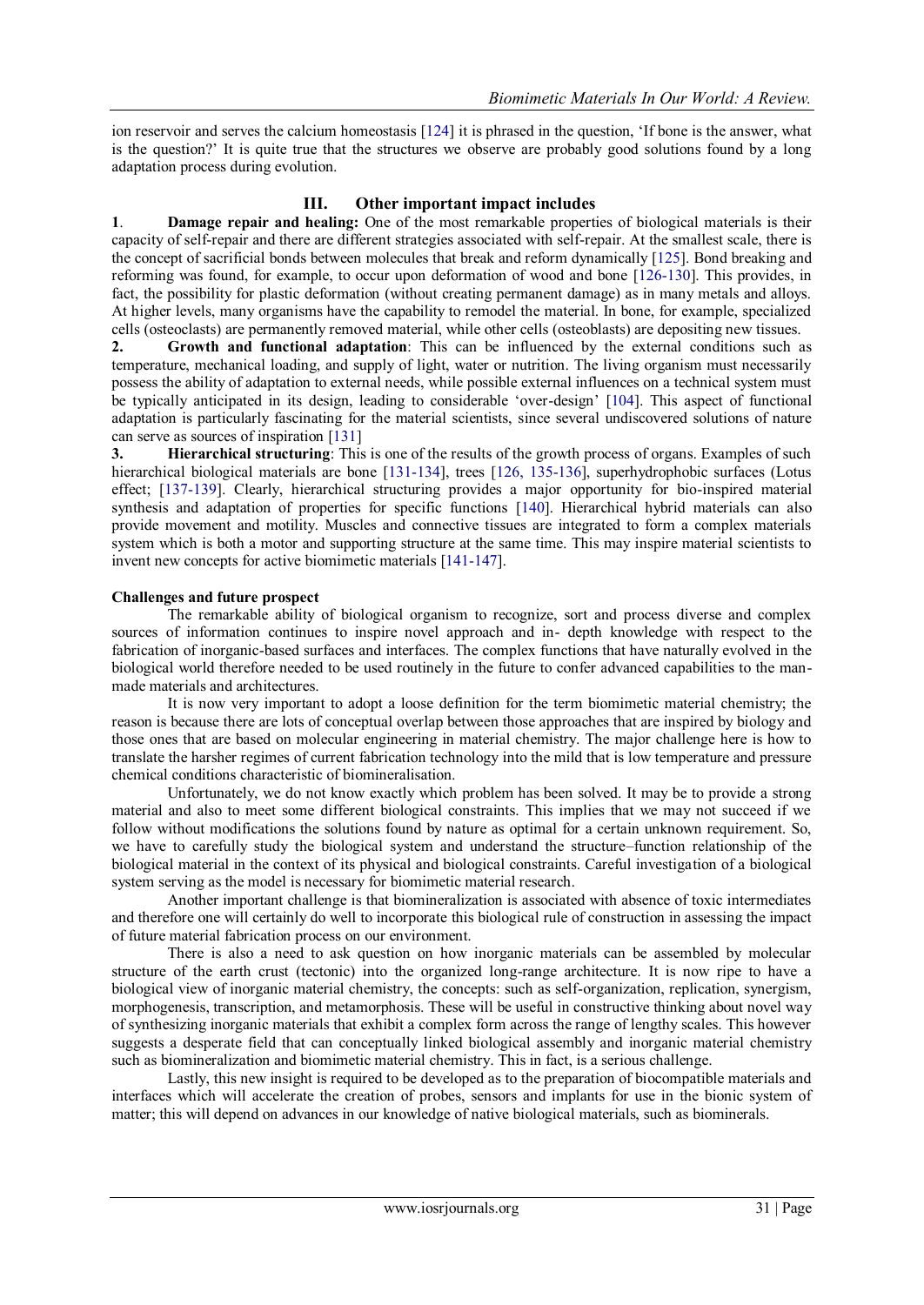ion reservoir and serves the calcium homeostasis [124] it is phrased in the question, 'If bone is the answer, what is the question?' It is quite true that the structures we observe are probably good solutions found by a long adaptation process during evolution.

# **III. Other important impact includes**

**1**. **Damage repair and healing:** One of the most remarkable properties of biological materials is their capacity of self-repair and there are different strategies associated with self-repair. At the smallest scale, there is the concept of sacrificial bonds between molecules that break and reform dynamically [125]. Bond breaking and reforming was found, for example, to occur upon deformation of wood and bone [126-130]. This provides, in fact, the possibility for plastic deformation (without creating permanent damage) as in many metals and alloys. At higher levels, many organisms have the capability to remodel the material. In bone, for example, specialized cells (osteoclasts) are permanently removed material, while other cells (osteoblasts) are depositing new tissues.

**2. Growth and functional adaptation**: This can be influenced by the external conditions such as temperature, mechanical loading, and supply of light, water or nutrition. The living organism must necessarily possess the ability of adaptation to external needs, while possible external influences on a technical system must be typically anticipated in its design, leading to considerable 'over-design' [104]. This aspect of functional adaptation is particularly fascinating for the material scientists, since several undiscovered solutions of nature can serve as sources of inspiration [131]

**3. Hierarchical structuring**: This is one of the results of the growth process of organs. Examples of such hierarchical biological materials are bone [131-134], trees [126, 135-136], superhydrophobic surfaces (Lotus effect; [137-139]. Clearly, hierarchical structuring provides a major opportunity for bio-inspired material synthesis and adaptation of properties for specific functions [140]. Hierarchical hybrid materials can also provide movement and motility. Muscles and connective tissues are integrated to form a complex materials system which is both a motor and supporting structure at the same time. This may inspire material scientists to invent new concepts for active biomimetic materials [141-147].

## **Challenges and future prospect**

The remarkable ability of biological organism to recognize, sort and process diverse and complex sources of information continues to inspire novel approach and in- depth knowledge with respect to the fabrication of inorganic-based surfaces and interfaces. The complex functions that have naturally evolved in the biological world therefore needed to be used routinely in the future to confer advanced capabilities to the manmade materials and architectures.

It is now very important to adopt a loose definition for the term biomimetic material chemistry; the reason is because there are lots of conceptual overlap between those approaches that are inspired by biology and those ones that are based on molecular engineering in material chemistry. The major challenge here is how to translate the harsher regimes of current fabrication technology into the mild that is low temperature and pressure chemical conditions characteristic of biomineralisation.

Unfortunately, we do not know exactly which problem has been solved. It may be to provide a strong material and also to meet some different biological constraints. This implies that we may not succeed if we follow without modifications the solutions found by nature as optimal for a certain unknown requirement. So, we have to carefully study the biological system and understand the structure–function relationship of the biological material in the context of its physical and biological constraints. Careful investigation of a biological system serving as the model is necessary for biomimetic material research.

Another important challenge is that biomineralization is associated with absence of toxic intermediates and therefore one will certainly do well to incorporate this biological rule of construction in assessing the impact of future material fabrication process on our environment.

There is also a need to ask question on how inorganic materials can be assembled by molecular structure of the earth crust (tectonic) into the organized long-range architecture. It is now ripe to have a biological view of inorganic material chemistry, the concepts: such as self-organization, replication, synergism, morphogenesis, transcription, and metamorphosis. These will be useful in constructive thinking about novel way of synthesizing inorganic materials that exhibit a complex form across the range of lengthy scales. This however suggests a desperate field that can conceptually linked biological assembly and inorganic material chemistry such as biomineralization and biomimetic material chemistry. This in fact, is a serious challenge.

Lastly, this new insight is required to be developed as to the preparation of biocompatible materials and interfaces which will accelerate the creation of probes, sensors and implants for use in the bionic system of matter; this will depend on advances in our knowledge of native biological materials, such as biominerals.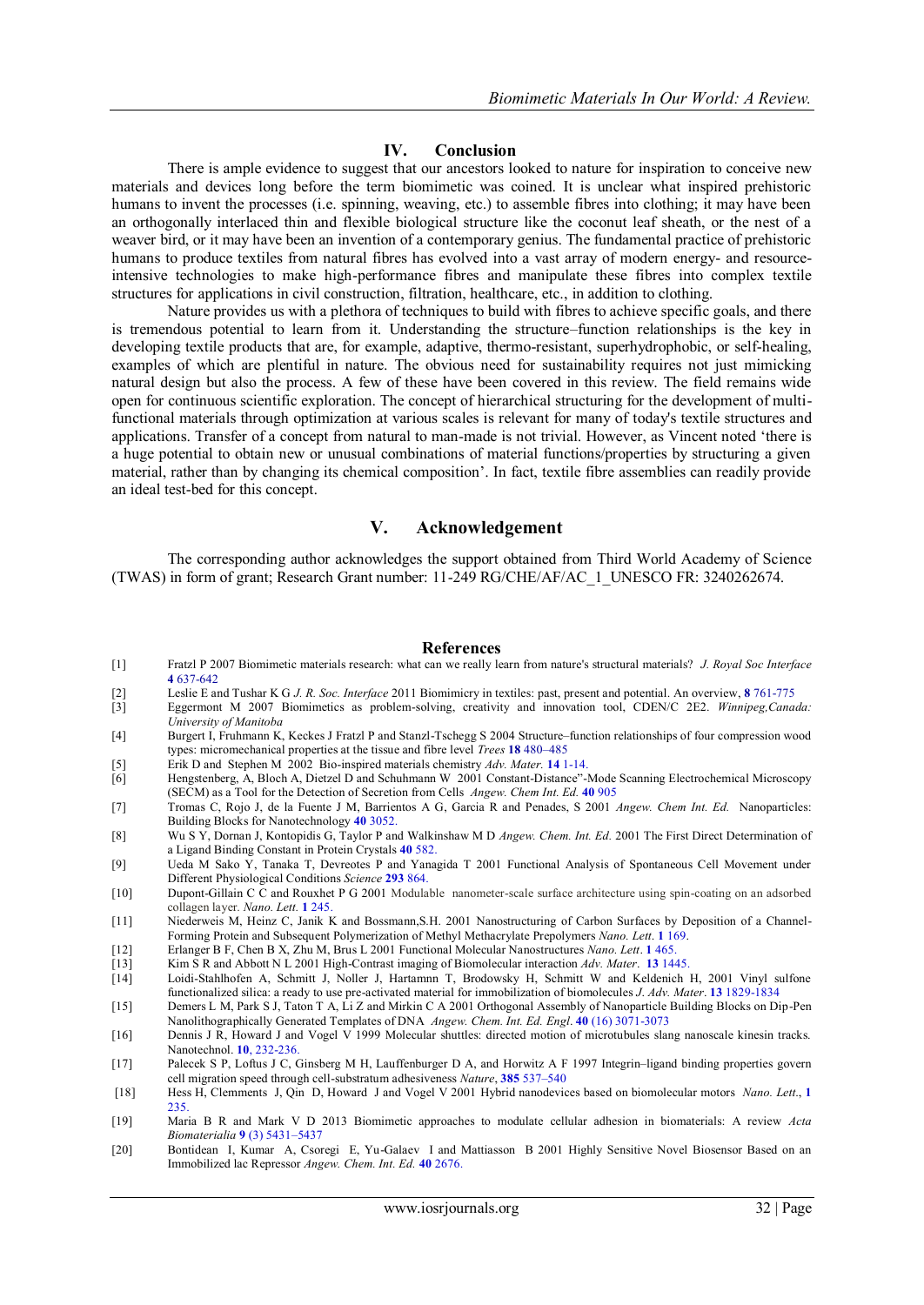## **IV. Conclusion**

There is ample evidence to suggest that our ancestors looked to nature for inspiration to conceive new materials and devices long before the term biomimetic was coined. It is unclear what inspired prehistoric humans to invent the processes (i.e. spinning, weaving, etc.) to assemble fibres into clothing; it may have been an orthogonally interlaced thin and flexible biological structure like the coconut leaf sheath, or the nest of a weaver bird, or it may have been an invention of a contemporary genius. The fundamental practice of prehistoric humans to produce textiles from natural fibres has evolved into a vast array of modern energy- and resourceintensive technologies to make high-performance fibres and manipulate these fibres into complex textile structures for applications in civil construction, filtration, healthcare, etc., in addition to clothing.

Nature provides us with a plethora of techniques to build with fibres to achieve specific goals, and there is tremendous potential to learn from it. Understanding the structure–function relationships is the key in developing textile products that are, for example, adaptive, thermo-resistant, superhydrophobic, or self-healing, examples of which are plentiful in nature. The obvious need for sustainability requires not just mimicking natural design but also the process. A few of these have been covered in this review. The field remains wide open for continuous scientific exploration. The concept of hierarchical structuring for the development of multifunctional materials through optimization at various scales is relevant for many of today's textile structures and applications. Transfer of a concept from natural to man-made is not trivial. However, as Vincent noted 'there is a huge potential to obtain new or unusual combinations of material functions/properties by structuring a given material, rather than by changing its chemical composition'. In fact, textile fibre assemblies can readily provide an ideal test-bed for this concept.

# **V. Acknowledgement**

The corresponding author acknowledges the support obtained from Third World Academy of Science (TWAS) in form of grant; Research Grant number: 11-249 RG/CHE/AF/AC\_1\_UNESCO FR: 3240262674.

#### **References**

- [1] Fratzl P 2007 Biomimetic materials research: what can we really learn from nature's structural materials? *J. Royal Soc Interface* **4** 637-642
- [2] Leslie E and Tushar K G *J. R. Soc. Interface* 2011 Biomimicry in textiles: past, present and potential. An overview, **8** 761-775
- [3] Eggermont M 2007 Biomimetics as problem-solving, creativity and innovation tool, CDEN/C 2E2. *Winnipeg,Canada: University of Manitoba*
- [4] Burgert I, Fruhmann K, Keckes J Fratzl P and Stanzl-Tschegg S 2004 Structure–function relationships of four compression wood types: micromechanical properties at the tissue and fibre level *Trees* **18** 480–485
- [5] Erik D and Stephen M 2002 Bio-inspired materials chemistry *Adv. Mater.* **14** 1-14.
- [6] Hengstenberg, A, Bloch A, Dietzel D and Schuhmann W 2001 Constant-Distance"-Mode Scanning Electrochemical Microscopy (SECM) as a Tool for the Detection of Secretion from Cells *Angew. Chem Int. Ed.* **40** 905
- [7] Tromas C, Rojo J, de la Fuente J M, Barrientos A G, Garcia R and Penades, S 2001 *Angew. Chem Int. Ed.* Nanoparticles: Building Blocks for Nanotechnology **40** 3052.
- [8] Wu S Y, Dornan J, Kontopidis G, Taylor P and Walkinshaw M D *Angew. Chem. Int. Ed.* 2001 The First Direct Determination of a Ligand Binding Constant in Protein Crystals **40** 582.
- [9] Ueda M Sako Y, Tanaka T, Devreotes P and Yanagida T 2001 Functional Analysis of Spontaneous Cell Movement under Different Physiological Conditions *Science* **293** 864.
- [10] Dupont-Gillain C C and Rouxhet P G 2001 Modulable nanometer-scale surface architecture using spin-coating on an adsorbed collagen layer. *Nano. Lett.* **1** 245.
- [11] Niederweis M, Heinz C, Janik K and Bossmann,S.H. 2001 Nanostructuring of Carbon Surfaces by Deposition of a Channel-Forming Protein and Subsequent Polymerization of Methyl Methacrylate Prepolymers *Nano. Lett*. **1** 169.
- [12] Erlanger B F, Chen B X, Zhu M, Brus L 2001 Functional Molecular Nanostructures *Nano. Lett*. **1** 465.
- [13] Kim S R and Abbott N L 2001 High-Contrast imaging of Biomolecular interaction *Adv. Mater*. **13** 1445.
- [14] Loidi-Stahlhofen A, Schmitt J, Noller J, Hartamnn T, Brodowsky H, Schmitt W and Keldenich H, 2001 Vinyl sulfone functionalized silica: a ready to use pre-activated material for immobilization of biomolecules *J*. *Adv. Mater*. **13** 1829-1834
- [15] Demers L M, Park S J, Taton T A, Li Z and Mirkin C A 2001 Orthogonal Assembly of Nanoparticle Building Blocks on Dip-Pen Nanolithographically Generated Templates of DNA *Angew. Chem. Int. Ed. Engl*. **40** (16) 3071-3073
- [16] Dennis J R, Howard J and Vogel V 1999 Molecular shuttles: directed motion of microtubules slang nanoscale kinesin tracks. Nanotechnol. **10**, 232-236.
- [17] Palecek S P, Loftus J C, Ginsberg M H, Lauffenburger D A, and Horwitz A F 1997 Integrin–ligand binding properties govern cell migration speed through cell-substratum adhesiveness *Nature*, **385** 537–540
- [18] Hess H, Clemments J, Qin D, Howard J and Vogel V 2001 Hybrid nanodevices based on biomolecular motors *Nano. Lett*., **1** 235.
- [19] Maria B R and Mark V D 2013 Biomimetic approaches to modulate cellular adhesion in biomaterials: A review *Acta Biomaterialia* **9** (3) 5431–5437
- [20] Bontidean I, Kumar A, Csoregi E, Yu-Galaev I and Mattiasson B 2001 Highly Sensitive Novel Biosensor Based on an Immobilized lac Repressor *Angew. Chem. Int. Ed.* **40** 2676.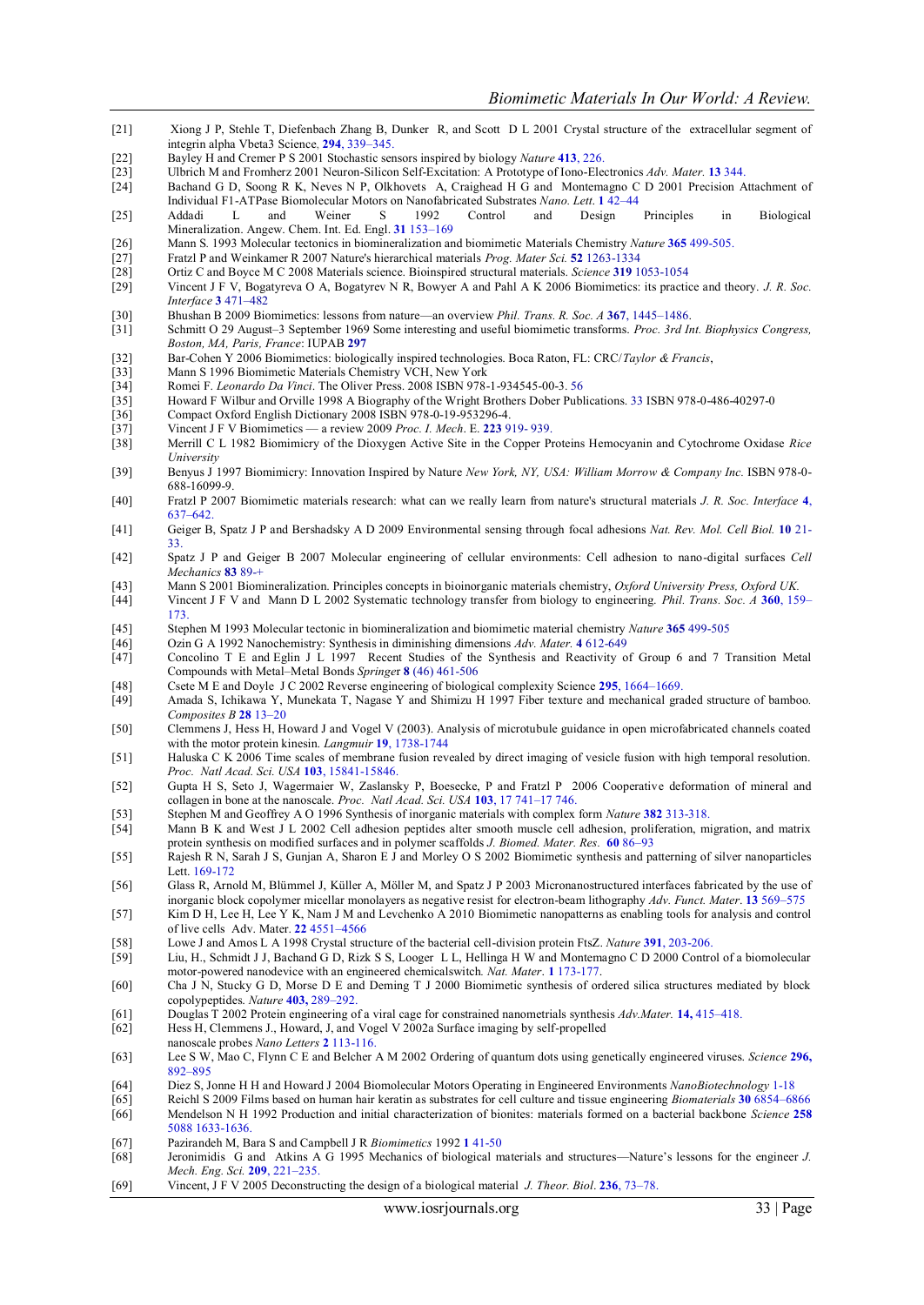- [21] Xiong J P, Stehle T, Diefenbach Zhang B, Dunker R, and Scott D L 2001 Crystal structure of the extracellular segment of integrin alpha Vbeta3 Science, **294**, 339–345.
- [22] Bayley H and Cremer P S 2001 Stochastic sensors inspired by biology *Nature* **413**, 226.
- [23] Ulbrich M and Fromherz 2001 Neuron-Silicon Self-Excitation: A Prototype of Iono-Electronics *Adv. Mater.* **13** 344.
- Bachand G D, Soong R K, Neves N P, Olkhovets A, Craighead H G and Montemagno C D 2001 Precision Attachment of Individual F1-ATPase Biomolecular Motors on Nanofabricated Substrates *Nano. Lett*. **1** 42–44
- [25] Addadi L and Weiner S 1992 Control and Design Principles in Biological Mineralization. Angew. Chem. Int. Ed. Engl. **31** 153–169
- Mann S. 1993 Molecular tectonics in biomineralization and biomimetic Materials Chemistry *Nature* 365 499-505.<br>
[27] Fratzl P and Weinkamer R 2007 Nature's hierarchical materials *Prog. Mater Sci.* 52 1263-1334
- [27] Fratzl P and Weinkamer R 2007 Nature's hierarchical materials *Prog. Mater Sci.* **52** 1263-1334
- [28] Ortiz C and Boyce M C 2008 Materials science. Bioinspired structural materials. *Science* **319** 1053-1054
- [29] Vincent J F V, Bogatyreva O A, Bogatyrev N R, Bowyer A and Pahl A K 2006 Biomimetics: its practice and theory. *J. R. Soc. Interface* **3** 471–482
- [30] Bhushan B 2009 Biomimetics: lessons from nature—an overview *Phil. Trans. R. Soc. A* **367**, 1445–1486.
- [31] Schmitt O 29 August–3 September 1969 Some interesting and useful biomimetic transforms. *Proc. 3rd Int. Biophysics Congress, Boston, MA, Paris, France*: IUPAB **297**
- [32] Bar-Cohen Y 2006 Biomimetics: biologically inspired technologies. Boca Raton, FL: CRC/*Taylor & Francis*,
- [33] Mann S 1996 Biomimetic Materials Chemistry VCH, New York<br>[34] Romei F. Leonardo Da Vinci. The Oliver Press. 2008 ISBN 978-
- [34] Romei F. *Leonardo Da Vinci*. The Oliver Press. 2008 ISBN 978-1-934545-00-3. 56 [35] Howard F Wilbur and Orville 1998 A Biography of the Wright Brothers Dober Publications. 33 ISBN 978-0-486-40297-0
- [36] Compact Oxford English Dictionary 2008 ISBN 978-0-19-953296-4.<br>[37] Vincent J F V Biomimetics a review 2009 *Proc. I. Mech.* E. 223 9
- [37] Vincent J F V Biomimetics a review 2009 *Proc. I. Mech*. E. **223** 919- 939.
- [38] Merrill C L 1982 Biomimicry of the Dioxygen Active Site in the Copper Proteins Hemocyanin and Cytochrome Oxidase *Rice University*
- [39] Benyus J 1997 Biomimicry: Innovation Inspired by Nature *New York, NY, USA: William Morrow & Company Inc.* ISBN 978-0- 688-16099-9.
- [40] Fratzl P 2007 Biomimetic materials research: what can we really learn from nature's structural materials *J. R. Soc. Interface* **4**, 637–642.
- [41] Geiger B, Spatz J P and Bershadsky A D 2009 Environmental sensing through focal adhesions *Nat. Rev. Mol. Cell Biol.* **10** 21- 33.
- [42] Spatz J P and Geiger B 2007 Molecular engineering of cellular environments: Cell adhesion to nano-digital surfaces *Cell Mechanics* **83** 89-+
- [43] Mann S 2001 Biomineralization. Principles concepts in bioinorganic materials chemistry, *Oxford University Press, Oxford UK.*
- [44] Vincent J F V and Mann D L 2002 Systematic technology transfer from biology to engineering. *Phil. Trans. Soc. A* **360**, 159– 173.
- [45] Stephen M 1993 Molecular tectonic in biomineralization and biomimetic material chemistry *Nature* **365** 499-505
- [46] Ozin G A 1992 Nanochemistry: Synthesis in diminishing dimensions *Adv. Mater.* **4** 612-649
- [47] Concolino T E and Eglin J L 1997 Recent Studies of the Synthesis and Reactivity of Group 6 and 7 Transition Metal Compounds with Metal–Metal Bonds *Springe*r **8** (46) 461-506
- [48] Csete M E and Doyle J C 2002 Reverse engineering of biological complexity Science **295**, 1664–1669.
- [49] Amada S, Ichikawa Y, Munekata T, Nagase Y and Shimizu H 1997 Fiber texture and mechanical graded structure of bamboo*. Composites B* **28** 13*–*20
- [50] Clemmens J, Hess H, Howard J and Vogel V (2003). Analysis of microtubule guidance in open microfabricated channels coated with the motor protein kinesin. *Langmuir* **19**, 1738-1744
- [51] Haluska C K 2006 Time scales of membrane fusion revealed by direct imaging of vesicle fusion with high temporal resolution. *Proc. Natl Acad. Sci. USA* **103**, 15841-15846.
- [52] Gupta H S, Seto J, Wagermaier W, Zaslansky P, Boesecke, P and Fratzl P 2006 Cooperative deformation of mineral and collagen in bone at the nanoscale. *Proc. Natl Acad. Sci. USA* **103**, 17 741–17 746.
- [53] Stephen M and Geoffrey A O 1996 Synthesis of inorganic materials with complex form *Nature* **382** 313-318.
- [54] Mann B K and West J L 2002 Cell adhesion peptides alter smooth muscle cell adhesion, proliferation, migration, and matrix protein synthesis on modified surfaces and in polymer scaffolds *J. Biomed. Mater. Res.* **60** 86–93
- [55] Rajesh R N, Sarah J S, Gunjan A, Sharon E J and Morley O S 2002 Biomimetic synthesis and patterning of silver nanoparticles Lett. 169-172
- [56] Glass R, Arnold M, Blümmel J, Küller A, Möller M, and Spatz J P 2003 Micronanostructured interfaces fabricated by the use of inorganic block copolymer micellar monolayers as negative resist for electron-beam lithography *Adv. Funct. Mater*. **13** 569–575
- [57] Kim D H, Lee H, Lee Y K, Nam J M and Levchenko A 2010 Biomimetic nanopatterns as enabling tools for analysis and control of live cells Adv. Mater. **22** 4551–4566
- [58] Lowe J and Amos L A 1998 Crystal structure of the bacterial cell-division protein FtsZ. *Nature* **391**, 203-206.
- Liu, H., Schmidt J J, Bachand G D, Rizk S S, Looger L L, Hellinga H W and Montemagno C D 2000 Control of a biomolecular motor-powered nanodevice with an engineered chemicalswitch*. Nat. Mater*. **1** 173-177.
- [60] Cha J N, Stucky G D, Morse D E and Deming T J 2000 Biomimetic synthesis of ordered silica structures mediated by block copolypeptides. *Nature* **403,** 289–292.
- [61] Douglas T 2002 Protein engineering of a viral cage for constrained nanometrials synthesis *Adv.Mater.* **14,** 415–418.
- [62] Hess H, Clemmens J., Howard, J, and Vogel V 2002a Surface imaging by self-propelled
- nanoscale probes *Nano Letters* **2** 113-116.
- [63] Lee S W, Mao C, Flynn C E and Belcher A M 2002 Ordering of quantum dots using genetically engineered viruses. *Science* **296,**  892–895
- [64] Diez S, Jonne H H and Howard J 2004 Biomolecular Motors Operating in Engineered Environments *NanoBiotechnology* 1-18
- [65] Reichl S 2009 Films based on human hair keratin as substrates for cell culture and tissue engineering *Biomaterials* **30** 6854–6866 [66] Mendelson N H 1992 Production and initial characterization of bionites: materials formed on a bacterial backbone *Science* **258**
- 5088 1633-1636.
- [67] Pazirandeh M, Bara S and Campbell J R *Biomimetics* 1992 **1** 41-50
- [68] Jeronimidis G and Atkins A G 1995 Mechanics of biological materials and structures—Nature's lessons for the engineer *J. Mech. Eng. Sci.* **209**, 221–235.
- [69] Vincent, J F V 2005 Deconstructing the design of a biological material *J. Theor. Biol*. **236**, 73–78.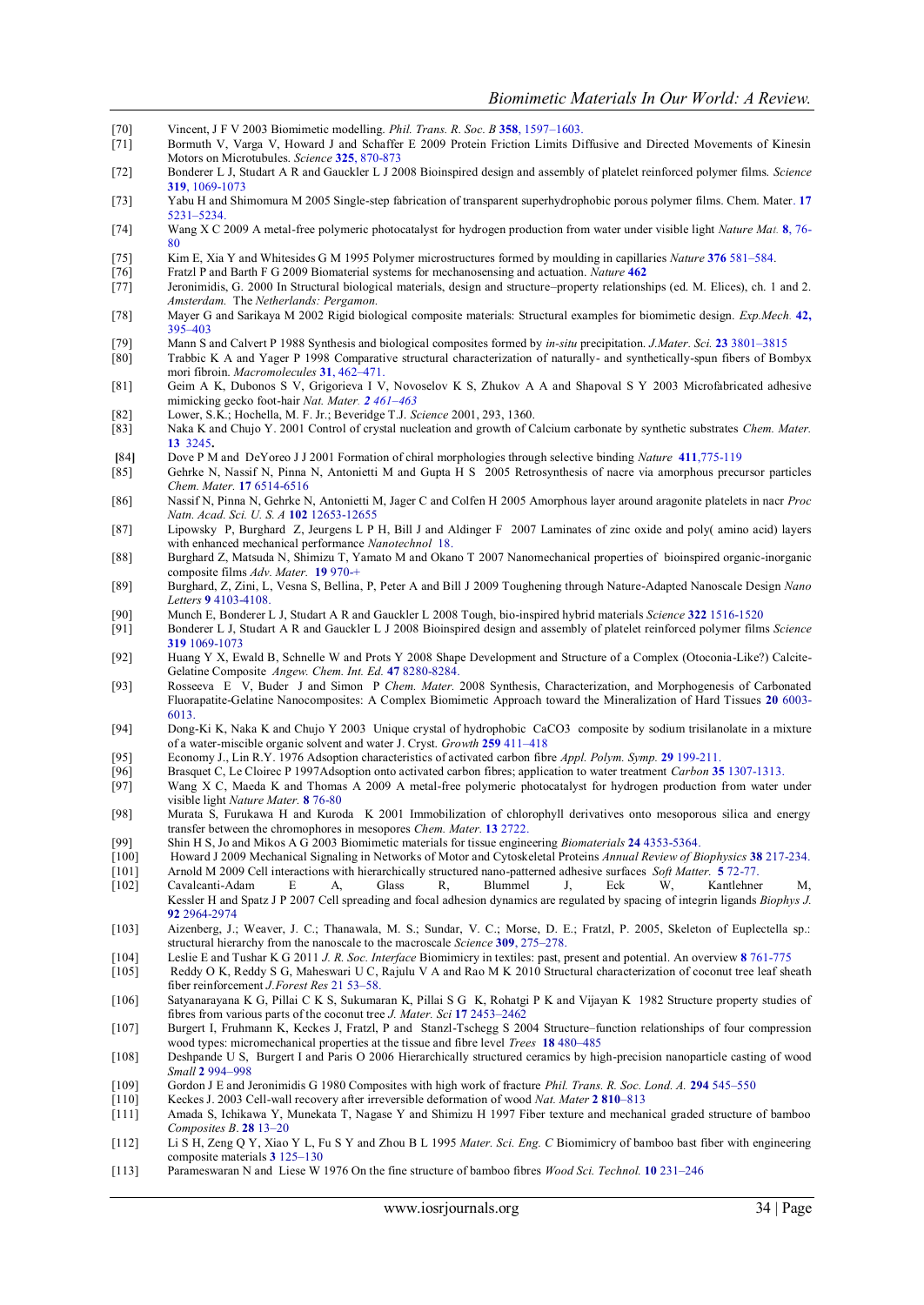- [70] Vincent, J F V 2003 Biomimetic modelling. *Phil. Trans. R. Soc. B* **358**, 1597–1603.
- [71] Bormuth V, Varga V, Howard J and Schaffer E 2009 Protein Friction Limits Diffusive and Directed Movements of Kinesin Motors on Microtubules. *Science* **325**, 870-873
- [72] Bonderer L J, Studart A R and Gauckler L J 2008 Bioinspired design and assembly of platelet reinforced polymer films. *Science*  **319**, 1069-1073
- [73] Yabu H and Shimomura M 2005 Single-step fabrication of transparent superhydrophobic porous polymer films. Chem. Mater. **17** 5231–5234.
- [74] Wang X C 2009 A metal-free polymeric photocatalyst for hydrogen production from water under visible light *Nature Mat.* **8**, 76- 80
- [75] Kim E, Xia Y and Whitesides G M 1995 Polymer microstructures formed by moulding in capillaries *Nature* **376** 581–584.
- [76] Fratzl P and Barth F G 2009 Biomaterial systems for mechanosensing and actuation. *Nature* **462**
- [77] Jeronimidis, G. 2000 In Structural biological materials, design and structure–property relationships (ed. M. Elices), ch. 1 and 2. *Amsterdam.* The *Netherlands: Pergamon.*
- [78] Mayer G and Sarikaya M 2002 Rigid biological composite materials: Structural examples for biomimetic design. *Exp.Mech.* **42,**  395–403
- [79] Mann S and Calvert P 1988 Synthesis and biological composites formed by *in-situ* precipitation. *J.Mater. Sci.* **23** 3801–3815
- [80] Trabbic K A and Yager P 1998 Comparative structural characterization of naturally- and synthetically-spun fibers of Bombyx mori fibroin. *Macromolecules* **31**, 462–471.
- [81] Geim A K, Dubonos S V, Grigorieva I V, Novoselov K S, Zhukov A A and Shapoval S Y 2003 Microfabricated adhesive mimicking gecko foot-hair *Nat. Mater. 2 461–463*
- [82] Lower, S.K.; Hochella, M. F. Jr.; Beveridge T.J. *Science* 2001, 293, 1360.
- [83] Naka K and Chujo Y. 2001 Control of crystal nucleation and growth of Calcium carbonate by synthetic substrates *Chem. Mater.* **13** 3245**.**
- **[**84**]** Dove P M and DeYoreo J J 2001 Formation of chiral morphologies through selective binding *Nature* **411**,775-119
- [85] Gehrke N, Nassif N, Pinna N, Antonietti M and Gupta H S 2005 Retrosynthesis of nacre via amorphous precursor particles *Chem. Mater.* **17** 6514-6516
- [86] Nassif N, Pinna N, Gehrke N, Antonietti M, Jager C and Colfen H 2005 Amorphous layer around aragonite platelets in nacr *Proc Natn. Acad. Sci. U. S. A* **102** 12653-12655
- [87] Lipowsky P, Burghard Z, Jeurgens L P H, Bill J and Aldinger F 2007 Laminates of zinc oxide and poly( amino acid) layers with enhanced mechanical performance *Nanotechnol* 18.
- [88] Burghard Z, Matsuda N, Shimizu T, Yamato M and Okano T 2007 Nanomechanical properties of bioinspired organic-inorganic composite films *Adv. Mater.* **19** 970-+
- [89] Burghard, Z, Zini, L, Vesna S, Bellina, P, Peter A and Bill J 2009 Toughening through Nature-Adapted Nanoscale Design *Nano Letters* **9** 4103-4108.
- [90] Munch E, Bonderer L J, Studart A R and Gauckler L 2008 Tough, bio-inspired hybrid materials *Science* **322** 1516-1520
- [91] Bonderer L J, Studart A R and Gauckler L J 2008 Bioinspired design and assembly of platelet reinforced polymer films *Science*  **319** 1069-1073
- [92] Huang Y X, Ewald B, Schnelle W and Prots Y 2008 Shape Development and Structure of a Complex (Otoconia-Like?) Calcite-Gelatine Composite *Angew. Chem. Int. Ed.* **47** 8280-8284.
- [93] Rosseeva E V, Buder J and Simon P *Chem. Mater.* 2008 Synthesis, Characterization, and Morphogenesis of Carbonated Fluorapatite-Gelatine Nanocomposites: A Complex Biomimetic Approach toward the Mineralization of Hard Tissues **20** 6003- 6013.
- [94] Dong-Ki K, Naka K and Chujo Y 2003 Unique crystal of hydrophobic CaCO3 composite by sodium trisilanolate in a mixture of a water-miscible organic solvent and water J. Cryst. *Growth* **259** 411–418
- [95] Economy J., Lin R.Y. 1976 Adsoption characteristics of activated carbon fibre *Appl. Polym. Symp.* **29** 199-211.
- [96] Brasquet C, Le Cloirec P 1997Adsoption onto activated carbon fibres; application to water treatment *Carbon* **35** 1307-1313.
- [97] Wang X C, Maeda K and Thomas A 2009 A metal-free polymeric photocatalyst for hydrogen production from water under visible light *Nature Mater.* **8** 76-80
- [98] Murata S, Furukawa H and Kuroda K 2001 Immobilization of chlorophyll derivatives onto mesoporous silica and energy transfer between the chromophores in mesopores *Chem. Mater.* **13** 2722.
- [99] Shin H S, Jo and Mikos A G 2003 Biomimetic materials for tissue engineering *Biomaterials* **24** 4353-5364.
- [100] Howard J 2009 Mechanical Signaling in Networks of Motor and Cytoskeletal Proteins *Annual Review of Biophysics* **38** 217-234. [101] Arnold M 2009 Cell interactions with hierarchically structured nano-patterned adhesive surfaces *Soft Matter.* **5** 72-77.
- [102] Cavalcanti-Adam E A, Glass R, Blummel J, Eck W, Kantlehner Kessler H and Spatz J P 2007 Cell spreading and focal adhesion dynamics are regulated by spacing of integrin ligands *Biophys J.*  **92** 2964-2974
- [103] Aizenberg, J.; Weaver, J. C.; Thanawala, M. S.; Sundar, V. C.; Morse, D. E.; Fratzl, P. 2005, Skeleton of Euplectella sp.: structural hierarchy from the nanoscale to the macroscale *Science* **309**, 275–278.
- [104] Leslie E and Tushar K G 2011 *J. R. Soc. Interface* Biomimicry in textiles: past, present and potential. An overview **8** 761-775
- [105] Reddy O K, Reddy S G, Maheswari U C, Rajulu V A and Rao M K 2010 Structural characterization of coconut tree leaf sheath fiber reinforcement *J.Forest Res* 21 53–58.
- [106] Satyanarayana K G, Pillai C K S, Sukumaran K, Pillai S G K, Rohatgi P K and Vijayan K 1982 Structure property studies of fibres from various parts of the coconut tree *J. Mater. Sci* **17** 2453–2462
- [107] Burgert I, Fruhmann K, Keckes J, Fratzl, P and Stanzl-Tschegg S 2004 Structure–function relationships of four compression wood types: micromechanical properties at the tissue and fibre level *Trees* **18** 480–485
- [108] Deshpande U S, Burgert I and Paris O 2006 Hierarchically structured ceramics by high-precision nanoparticle casting of wood *Small* **2** 994–998
- [109] Gordon J E and Jeronimidis G 1980 Composites with high work of fracture *Phil. Trans. R. Soc. Lond. A.* **294** 545–550
- [110] Keckes J. 2003 Cell-wall recovery after irreversible deformation of wood *Nat. Mater* **2 810**–813
- [111] Amada S, Ichikawa Y, Munekata T, Nagase Y and Shimizu H 1997 Fiber texture and mechanical graded structure of bamboo *Composites B*. **28** 13–20
- [112] Li S H, Zeng Q Y, Xiao Y L, Fu S Y and Zhou B L 1995 *Mater. Sci. Eng. C* Biomimicry of bamboo bast fiber with engineering composite materials **3** 125–130
- [113] Parameswaran N and Liese W 1976 On the fine structure of bamboo fibres *Wood Sci. Technol.* **10** 231–246